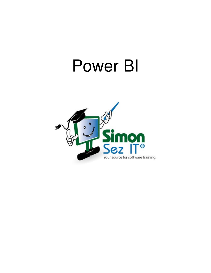# Power BI

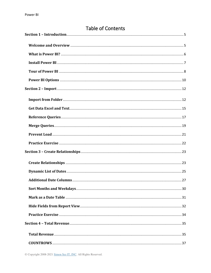| Table of Contents |  |
|-------------------|--|
|                   |  |
|                   |  |
|                   |  |
|                   |  |
|                   |  |
|                   |  |
|                   |  |
|                   |  |
|                   |  |
|                   |  |
|                   |  |
|                   |  |
|                   |  |
|                   |  |
|                   |  |
|                   |  |
|                   |  |
|                   |  |
|                   |  |
|                   |  |
|                   |  |
|                   |  |
|                   |  |
|                   |  |

# $T$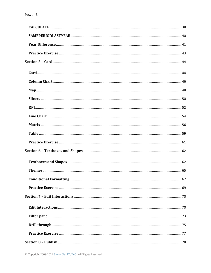© Copyright 2008-2021 Simon Sez IT, INC. All Rights Reserved.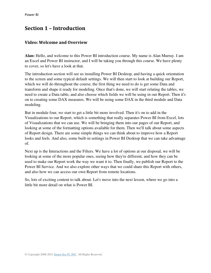# <span id="page-4-0"></span>**Section 1 – Introduction**

#### <span id="page-4-1"></span>**Video: Welcome and Overview**

**Alan:** Hello, and welcome to this Power BI introduction course. My name is Alan Murray. I am an Excel and Power BI instructor, and I will be taking you through this course. We have plenty to cover, so let's have a look at that.

The introduction section will see us installing Power BI Desktop, and having a quick orientation to the screen and some typical default settings. We will then start to look at building our Report, which we will do throughout the course, the first thing we need to do is get some Data and transform and shape it ready for modeling. Once that's done, we will start relating the tables, we need to create a Data table, and also choose which fields we will be using in our Report. Then it's on to creating some DAX measures. We will be using some DAX in the third module and Data modeling.

But in module four, we start to get a little bit more involved. Then it's on to add in the Visualizations to our Report, which is something that really separates Power BI from Excel, lots of Visualizations that we can use. We will be bringing them into our pages of our Report, and looking at some of the formatting options available for them. Then we'll talk about some aspects of Report design. There are some simple things we can think about to improve how a Report looks and feels. And also, some built-in settings in Power BI Desktop that we can take advantage of.

Next up is the Interactions and the Filters. We have a lot of options at our disposal, we will be looking at some of the more popular ones, seeing how they're different, and how they can be used to make our Report work the way we want it to. Then finally, we publish our Report to the Power BI Service. And we also explore other ways that we could share this Report with others, and also how we can access our own Report from remote locations.

So, lots of exciting content to talk about. Let's move into the next lesson, where we go into a little bit more detail on what is Power BI.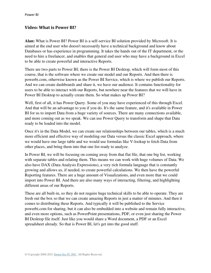#### <span id="page-5-0"></span>**Video: What is Power BI?**

**Alan:** What is Power BI? Power BI is a self-service BI solution provided by Microsoft. It is aimed at the end user who doesn't necessarily have a technical background and know about Databases or has experience in programming. It takes the hands out of the IT department, or the need to hire a freelancer, and enables that general end user who may have a background in Excel to be able to create powerful and interactive Reports.

There are two parts to Power BI; there is the Power BI Desktop, which will form most of this course, that is the software where we create our model and our Reports. And then there is powerbi.com, otherwise known as the Power BI Service, which is where we publish our Reports. And we can create dashboards and share it, we have our audience. It contains functionality for users to be able to interact with our Reports, but nowhere near the features that we will have in Power BI Desktop to actually create them. So what makes up Power BI?

Well, first of all, it has Power Query. Some of you may have experienced of this through Excel. And that will be an advantage to you if you do. It's the same feature, and it's available in Power BI for us to import Data from a huge variety of sources. There are many connections available, and more coming out as we speak. We can use Power Query to transform and shape that Data ready to be loaded into the model.

Once it's in the Data Model, we can create our relationships between our tables, which is a much more efficient and effective way of modeling our Data versus the classic Excel approach, where we would have one large table and we would use formulas like V-lookup to fetch Data from other places, and bring them into that one list ready to analyze.

In Power BI, we will be focusing on coming away from that flat file, that one big list, working with separate tables and relating them. This means we can work with huge volumes of Data. We also have DAX (Data Analysis Expressions), a very rich formula language that is constantly growing and allows us, if needed, to create powerful calculations. We then have the powerful Reporting features. There are a huge amount of Visualizations, and even more that we could import into Power BI. And there are also many ways of interacting, filtering, and highlighting different areas of our Reports.

These are all built-in, so they do not require huge technical skills to be able to operate. They are fresh out the box so that we can create amazing Reports in just a matter of minutes. And then it comes to distributing these Reports. And typically it will be published to the Service powerbi.com for sharing, but it can also be embedded into a website and remain fully interactive, and even more options, such as PowerPoint presentations, PDF, or even just sharing the Power BI Desktop file itself. Just like you would share a Word document, a PDF or an Excel spreadsheet already. So that is Power BI, let's get into the good stuff.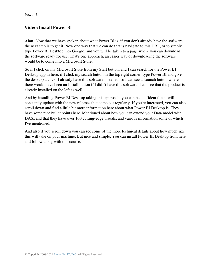## <span id="page-6-0"></span>**Video: Install Power BI**

**Alan:** Now that we have spoken about what Power BI is, if you don't already have the software, the next step is to get it. Now one way that we can do that is navigate to this URL, or to simply type Power BI Desktop into Google, and you will be taken to a page where you can download the software ready for use. That's one approach, an easier way of downloading the software would be to come into a Microsoft Store.

So if I click on my Microsoft Store from my Start button, and I can search for the Power BI Desktop app in here, if I click my search button in the top right corner, type Power BI and give the desktop a click. I already have this software installed, so I can see a Launch button where there would have been an Install button if I didn't have this software. I can see that the product is already installed on the left as well.

And by installing Power BI Desktop taking this approach, you can be confident that it will constantly update with the new releases that come out regularly. If you're interested, you can also scroll down and find a little bit more information here about what Power BI Desktop is. They have some nice bullet points here. Mentioned about how you can extend your Data model with DAX, and that they have over 100 cutting-edge visuals, and various information some of which I've mentioned.

And also if you scroll down you can see some of the more technical details about how much size this will take on your machine. But nice and simple. You can install Power BI Desktop from here and follow along with this course.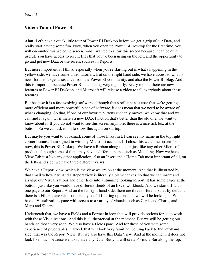### <span id="page-7-0"></span>**Video: Tour of Power BI**

**Alan:** Let's have a quick little tour of Power BI Desktop before we get a grip of our Data, and really start having some fun. Now, when you open up Power BI Desktop for the first time, you will encounter this welcome screen. And I wanted to show this screen because it can be quite useful. You have access to recent files that you've been using on the left, and the opportunity to go and get new Data or use recent sources in Reports.

But more importantly, I think, especially when you're starting out is what's happening in the yellow side, we have some video tutorials. But on the right hand side, we have access to what is new, forums, to get assistance from the Power BI community, and also the Power BI blog. And this is important because Power BI is updating very regularly. Every month, there are new features to Power BI Desktop, and Microsoft will release a video to tell everybody about these features.

But because it is a fast evolving software, although that's brilliant as a user that we're getting a more efficient and more powerful piece of software, it does mean that we need to be aware of what's changing. So that, if one of our favorite buttons suddenly moves, we know that and we can find it again. Or if there's a new DAX function that's better than the old one, we want to know about it. If you do not want to see this screen anymore, there is a nice tick box at the bottom. So we can ask it not to show this again on startup.

But maybe you want to bookmark some of those links first. I can see my name in the top right corner because I am signed in with my Microsoft account. If I close this welcome screen for now, this is Power BI Desktop. We have a Ribbon along the top, just like any other Microsoft product, although some of them may have a different name, such as Modeling. Now we have a View Tab just like any other application, also an Insert and a Home Tab most important of all, on the left-hand side, we have three different views.

We have a Report view, which is the view we are on at the moment. And that is illustrated by that small yellow bar. And a Report view is literally a blank canvas, so that we can insert and arrange our Visualizations and other tiles into a stunning looking Report. It has some pages at the bottom, just like you would have different sheets of an Excel workbook. And we start off with one page to our Report. And on the far right-hand side, there are three different panes by default, there is a Filters pane with some really useful filtering options that we will be looking at. We have a Visualizations pane with access to a variety of visuals, such as Cards and Charts, and Maps and Slicers.

Underneath that, we have a Fields and a Format in icon that will provide options for us to work with those Visualizations. And this is all theoretical at the moment. But we will be getting our hands on those very soon. We also have a Fields pane. And for those of you with some experience of pivot tables in Excel, that will look very familiar. Coming back to the left-hand side, that was the Report View. But we also have this Data View. And at the moment, it does not look like much because we don't have any Data. But you will see a Formula Bar along the top,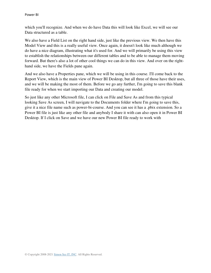which you'll recognize. And when we do have Data this will look like Excel, we will see our Data structured as a table.

We also have a Field List on the right hand side, just like the previous view. We then have this Model View and this is a really useful view. Once again, it doesn't look like much although we do have a nice diagram, illustrating what it's used for. And we will primarily be using this view to establish the relationships between our different tables and to be able to manage them moving forward. But there's also a lot of other cool things we can do in this view. And over on the righthand side, we have the Fields pane again.

And we also have a Properties pane, which we will be using in this course. I'll come back to the Report View, which is the main view of Power BI Desktop, but all three of those have their uses, and we will be making the most of them. Before we go any further, I'm going to save this blank file ready for when we start importing our Data and creating our model.

So just like any other Microsoft file, I can click on File and Save As and from this typical looking Save As screen, I will navigate to the Documents folder where I'm going to save this, give it a nice file name such as power-bi-course. And you can see it has a .pbix extension. So a Power BI file is just like any other file and anybody I share it with can also open it in Power BI Desktop. If I click on Save and we have our new Power BI file ready to work with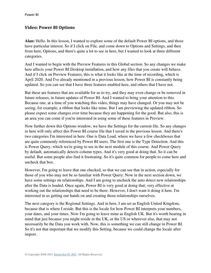Power BI

#### <span id="page-9-0"></span>**Video: Power BI Options**

**Alan:** Hello. In this lesson, I wanted to explore some of the default Power BI options, and those have particular interest. So if I click on File, and come down to Options and Settings, and then from here, Options, and there's quite a lot to see in here, but I wanted to look at three different categories.

And I wanted to begin with the Preview Features in this Global section. So any changes we make here affects your Power BI Desktop installation, and how any files that you create will behave. And if I click on Preview Features, this is what it looks like at the time of recording, which is April 2020. And I've already mentioned in a previous lesson, how Power BI is constantly being updated. So you can see that I have three features enabled here, and others that I have not.

But these are features that are available for us to try, and they may even change or be removed in future releases, in future updates of Power BI. And I wanted to bring your attention to this. Because one, at a time of you watching this video, things may have changed. Or you may not be seeing, for example, a ribbon that looks like mine. But I am previewing the updated ribbon. So please expect some changes over time because they are happening for the good. But also, this is an area you can come if you're interested in using some of these features in Preview.

Now further down this Options window, we have the Settings for the current file. So any changes in here will only affect this Power BI course file that I saved in the previous lesson. And there's two categories I'm interested in here. One is Data Load, where we have a few checkboxes that are quite commonly referenced by Power BI users. The first one is the Type Detection. And this is Power Query, which we're going to see in the next module of this course. And Power Query by default, automatically detects column types. And it's very good at doing that. So it can be useful. But some people also find it frustrating. So it's quite common for people to come here and uncheck that box.

However, I'm going to leave that one checked, so that we can see that in action, especially for those of you who may not be so familiar with Power Query. Now in the next section down, we have some settings on relationships. And I am going to uncheck the auto detect new relationships after the Data is loaded. Once again, Power BI is very good at doing that; very effective at working out the relationships that need to be there. However, I don't want it doing it here. I'm interested in us getting our hands on and creating those relationships ourselves.

The next category is the Regional Settings. And in here, I am set as English United Kingdom, because that is where I reside. But this is the locale for how Power BI interprets your numbers, your dates, and your times. Now I'm going to leave mine as English UK. But it's worth bearing in mind that just because you might reside in the UK, or the US or wherever else, that may not necessarily be the Data you work with. Now, this is something we can still change in Power BI. So it's not that important that we modify this Setting, because we could change the locale after import.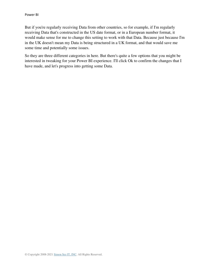But if you're regularly receiving Data from other countries, so for example, if I'm regularly receiving Data that's constructed in the US date format, or in a European number format, it would make sense for me to change this setting to work with that Data. Because just because I'm in the UK doesn't mean my Data is being structured in a UK format, and that would save me some time and potentially some issues.

So they are three different categories in here. But there's quite a few options that you might be interested in tweaking for your Power BI experience. I'll click Ok to confirm the changes that I have made, and let's progress into getting some Data.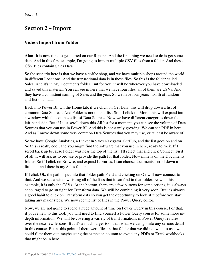# <span id="page-11-0"></span>**Section 2 – Import**

# <span id="page-11-1"></span>**Video: Import from Folder**

**Alan:** It is now time to get started on our Reports. And the first thing we need to do is get some data. And in this first example, I'm going to import multiple CSV files from a folder. And these CSV files contain Sales Data.

So the scenario here is that we have a coffee shop, and we have multiple shops around the world in different Locations. And the transactional data is in these files. So this is the folder called Sales. And it's in My Documents folder. But for you, it will be wherever you have downloaded and saved this material. You can see in here that we have four files, all of them are CSVs. And they have a consistent naming of Sales and the year. So we have four years' worth of random and fictional data.

Back into Power BI. On the Home tab, if we click on Get Data, this will drop down a list of common Data Sources. And Folder is not on that list. So if I click on More, this will expand into a window with the complete list of Data Sources. Now we have different categories down the left-hand side. But if I just scroll down this All list for a moment, you can see the volume of Data Sources that you can use in Power BI. And this is constantly growing. We can see PDF in here. And as I move down some very common Data Sources that you may use, or at least be aware of.

So we have Google Analytics, a LinkedIn Sales Navigator, GitHub, and the list goes on and on. So this is really cool, and you might find the software that you use in here, ready to rock. If I scroll back up because Folder was near the top of the list, I'll select that and click Connect. First of all, it will ask us to browse or provide the path for that folder. Now mine is on the Documents folder. So if I click on Browse, and expand Libraries, I can choose documents, scroll down a little bit, and there is my Sales folder.

If I click Ok, the path is put into that folder path Field and clicking on Ok will now connect to that. And we see a window listing all of the files that it can find in that folder. Now in this example, it is only the CSVs. At the bottom, there are a few buttons for some actions, it is always encouraged to go straight for Transform data. We will be combining it very soon. But it's always a good habit to click on Transform data so you get the opportunity to look at it before you start taking any major steps. We now see the list of files in the Power Query editor.

Now, we are not going to spend a huge amount of time on Power Query in this course. For that, if you're new to this tool, you will need to find yourself a Power Query course for some more indepth information. We will be covering a variety of transformations in Power Query features over the next few lessons. But it's a much larger tool than what we can go into any serious detail in this course. But at this point, if there were files in that folder that we did not want to use, we could filter them out, maybe using the extension column to avoid any PDFs or Excel workbooks that might be in here.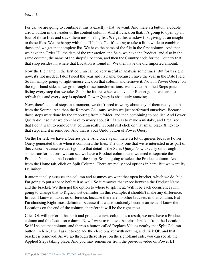For us, we are going to combine it this is exactly what we want. And there's a button, a double arrow button in the header of the content column. And if I click on that, it's going to open up all four of those files and stack them into one big list. We get this window first giving us an insight to those files. We are happy with this. If I click Ok, it's going to take a little while to combine those and we get that complete list. We have the name of the file in the first column. And then we have the Order ID, the date of the transaction, the Sale, we have the Product, and also in the same column, the name of the shops' Location, and then the Country code for the Country that that shop resides in, where that Location is found in. We then have the old imported amount.

Now the file name in the first column can be very useful in analysis sometimes. But for us right now, it's not needed, I don't need the year and its name, because I have the year in the Date Field. So I'm simply going to right-mouse click on that column and remove it. Now in Power Query, on the right-hand side, as we go through these transformations, we have an Applied Steps pane listing every step that we take. So in the future, when we have our Report go in, we can just refresh this and every step is updated. Power Query is absolutely amazing.

Now, there's a lot of steps in a moment, we don't need to worry about any of them really, apart from the Source. And then the Remove Columns, which we just performed ourselves. Because those steps were done by the importing from a folder, and then combining to one list. And Power Query did it so that we don't have to worry about it. If I was to make a mistake, and I realized that I don't want to remove that column really, I could just click on that small black X next to that step, and it is removed. And that is your Undo button of Power Query.

On the far left, we have a Queries pane. And once again, there's a lot of queries because Power Query generated those when it combined the files. The only one that we're interested in as part of this course, because we can't go into that detail is the Sales Query. Now to carry on through some transformations, we can see we have a Product column, and we need to separate the Product Name and the Location of the shop. So I'm going to select the Product column. And from the Home tab, click on Split Column. There are really cool options in here. But we want By Delimiter.

It automatically assesses the column and assumes we want that open bracket, which we do, but I'm going to put a space before it as well. So it removes that space between the Product Name and the bracket. We then get the option to where to split it at. Will it be each occurrence? I'm going to change that to Right-most delimiter. In this example, it shouldn't make any difference. In fact, I know it makes no difference, because there are no other brackets in that column. But I'm choosing Right-most delimiter because if it was to suddenly become an issue, I know the Locations on the end of the column, therefore it will be the right-most.

Click Ok will perform that split and produce a new column as a result, we now have a Product column and this Location column. Now I want to remove that close bracket from the Location. So if I select that column, and there's a button called Replace Values nearby that Split Column button. In here, I will ask it to replace the close bracket with nothing and click Ok, and that bracket is removed. As we go through these steps, on the right-hand side, you can see all the Applied Steps taking place. And you may remember from the previous video on Power BI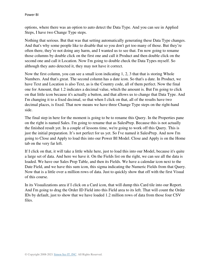options, where there was an option to auto detect the Data Type. And you can see in Applied Steps, I have two Change Type steps.

Nothing that serious. But that was that setting automatically generating these Data Type changes. And that's why some people like to disable that so you don't get too many of those. But they're often there, they're not doing any harm, and I wanted us to see that. I'm now going to rename those columns by double click on the first one and call it Product and then double click on the second one and call it Location. Now I'm going to double check the Data Types myself. So although they auto detected it, they may not have it correct.

Now the first column, you can see a small icon indicating 1, 2, 3 that that is storing Whole Numbers. And that's great. The second column has a date icon. So that's a date. In Product, we have Text and Location is also Text, as is the Country code, all of them perfect. Now the final one for Amount, that 1.2 indicates a decimal value, which the amount is. But I'm going to click on that little icon because it's actually a button, and that allows us to change that Data Type. And I'm changing it to a fixed decimal, so that when I click on that, all of the results have two decimal places, is fixed. That now means we have three Change Type steps on the right-hand side.

The final step in here for the moment is going to be to rename this Query. In the Properties pane on the right is named Sales. I'm going to rename that as SalesPrep. Because this is not actually the finished result yet. In a couple of lessons time, we're going to work off this Query. This is just the initial preparation. It's not perfect for us yet. So I've named it SalesPrep. And now I'm going to Close and Apply to load this into our Power BI Model. Close and Apply is on the Home tab on the very far left.

If I click on that, it will take a little while here, just to load this into our Model, because it's quite a large set of data. And here we have it. On the Fields list on the right, we can see all the data is loaded. We have our Sales Prep Table, and then its Fields. We have a calendar icon next to the Date Field, and we have this sum icon, this sigma indicating the Numeric Fields from that Query. Now that is a little over a million rows of data. Just to quickly show that off with the first Visual of this course.

In its Visualizations area if I click on a Card icon, that will dump this Card tile into our Report. And I'm going to drag the Order ID Field into this Field area to its left. That will count the Order IDs by default, just to show that we have loaded 1.2 million rows of data from those four CSV files.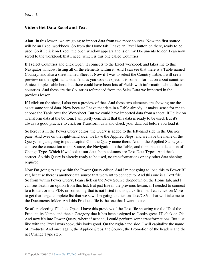## <span id="page-14-0"></span>**Video: Get Data Excel and Text**

**Alan:** In this lesson, we are going to import data from two more sources. Now the first source will be an Excel workbook. So from the Home tab, I have an Excel button on there, ready to be used. So if I click on Excel, the open window appears and is on my Documents folder. I can now scroll to the workbook that I need, which is this one called Countries.

If I select Countries and click Open, it connects to the Excel workbook and takes me to this Navigator window, listing all of the elements within it. And I can see that there is a Table named Country, and also a sheet named Sheet 1. Now if I was to select the Country Table, I will see a preview on the right-hand side. And as you would expect, it is some information about countries. A nice simple Table here, but there could have been lots of Fields with information about these countries. And these are the Countries referenced from the Sales Data we imported in the previous lesson.

If I click on the sheet, I also get a preview of that. And these two elements are showing me the exact same set of data. Now because I have that data in a Table already, it makes sense for me to choose the Table over the Worksheet. But we could have imported data from a sheet. If I click on Transform data at the bottom, I am pretty confident that this data is ready to be used. But it's always a good practice to click on Transform data and check your data out before you load it.

So here it is in the Power Query editor, the Query is added to the left-hand side in the Queries pane. And over on the right-hand side, we have the Applied Steps, and we have the name of the Query. I'm just going to put a capital C in the Query name there. And in the Applied Steps, you can see the connection to the Source, the Navigation to the Table, and then the auto detection of Change Type. Which if we look at our data, both columns are Text Data Types. And that's correct. So this Query is already ready to be used, no transformations or any other data shaping required.

Now I'm going to stay within the Power Query editor. And I'm not going to load this to Power BI yet, because there is another data source that we want to connect to. And this one is a Text file. So from within Power Query, I can click on the New Source dropdown on the Home tab, and I can see Text is an option from this list. But just like in the previous lesson, if I needed to connect to a folder, or to a PDF, or something that is not listed in this quick fire list, I can click on More to get that large, complete list that we saw. I'm going to click on Text/CSV. That will take me to the Documents folder. And this Products file is the one that I want to use.

So after selecting I'll click Open. I have this preview of the Text file showing me the ID of the Product, its Name, and then a Category that it has been assigned to. Looks great. I'll click on Ok. And now it's into Power Query, where if needed, I could perform some transformations. But just like with the Excel workbook, this looks good. On the right-hand side, I will capitalize the name of Products. And once again, the Applied Steps, the Source, the Promotion of the headers and the net Change Type step.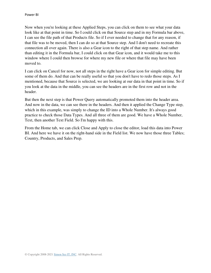Now when you're looking at these Applied Steps, you can click on them to see what your data look like at that point in time. So I could click on that Source step and in my Formula bar above, I can see the file path of that Products file. So if I ever needed to change that for any reason, if that file was to be moved, then I can do so at that Source step. And I don't need to recreate this connection all over again. There is also a Gear icon to the right of that step name. And rather than editing it in the Formula bar, I could click on that Gear icon, and it would take me to this window where I could then browse for where my new file or where that file may have been moved to.

I can click on Cancel for now, not all steps in the right have a Gear icon for simple editing. But some of them do. And that can be really useful so that you don't have to redo those steps. As I mentioned, because that Source is selected, we are looking at our data in that point in time. So if you look at the data in the middle, you can see the headers are in the first row and not in the header.

But then the next step is that Power Query automatically promoted them into the header area. And now in the data, we can see there in the headers. And then it applied the Change Type step, which in this example, was simply to change the ID into a Whole Number. It's always good practice to check those Data Types. And all three of them are good. We have a Whole Number, Text, then another Text Field. So I'm happy with this.

From the Home tab, we can click Close and Apply to close the editor, load this data into Power BI. And here we have it on the right-hand side in the Field list. We now have those three Tables; Country, Products, and Sales Prep.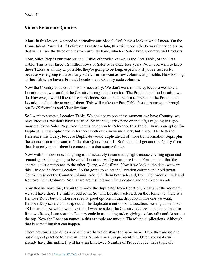## <span id="page-16-0"></span>**Video: Reference Queries**

**Alan:** In this lesson, we need to normalize our Model. Let's have a look at what I mean. On the Home tab of Power BI, if I click on Transform data, this will reopen the Power Query editor, so that we can see the three queries we currently have, which is Sales Prep, Country, and Products.

Now, Sales Prep is our transactional Table, otherwise known as the Fact Table, or the Data Table. This is our large 1.2 million rows of Sales over these four years. Now, you want to keep these Tables as skinny as possible, they're going to be long, especially if you're successful, because we're going to have many Sales. But we want as few columns as possible. Now looking at this Table, we have a Product Location and Country code columns.

Now the Country code column is not necessary. We don't want it in here, because we have a Location, and we can find the Country through the Location. The Product and the Location we do. However, I would like to use some Index Numbers there as a reference to the Product and Location and not the names of them. This will make our Fact Table fast to interrogate through our DAX formulas and Visualizations.

So I want to create a Location Table. We don't have one at the moment, we have Country, we have Products, we don't have Location. So in the Queries pane on the left, I'm going to rightmouse click on Sales Prep. And there is an option to Reference this Table. There is an option for Duplicate and an option for Reference. Both of them would work, but it would be better to Reference this Query, because Duplicate would duplicate all of those transformation steps, plus the connection to the source folder that Query does. If I Reference it, I get another Query from that. But only one of them is connected to that source folder.

Now with this new one, I'm going to immediately rename it by right-mouse clicking again and renaming. And it's going to be called Location. And you can see in the Formula bar, that the source is just a reference to the other Query, = SalesPrep. Now if we look at the data, we want this Table to be about Location. So I'm going to select the Location column and hold down Control to select the Country column. And with them both selected, I will right-mouse click and Remove Other Columns. So that we are just left with the Location and the Country code.

Now that we have this, I want to remove the duplicates from Location, because at the moment, we still have those 1.2 million odd rows. So with Location selected, on the Home tab, there is a Remove Rows button. There are really good options in that dropdown. The one we want, Remove Duplicates, will strip out all the duplicate mentions of a Location, leaving us with our 48 Locations. Now that we have that, I want to select the Country code column, so that next to Remove Rows, I can sort the Country code in ascending order; giving us Australia and Austria at the top. Now the Location names in this example are unique. There's no duplications. Although that is something that can happen.

There are towns and cities across the world which share the same name. Here they are unique, but it's good practice to have an Index Number as a unique identifier. Often your data will already have this index. It will have an Employee Number or Product code that's typically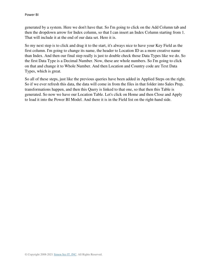generated by a system. Here we don't have that. So I'm going to click on the Add Column tab and then the dropdown arrow for Index column, so that I can insert an Index Column starting from 1. That will include it at the end of our data set. Here it is.

So my next step is to click and drag it to the start, it's always nice to have your Key Field as the first column. I'm going to change its name, the header to Location ID as a more creative name than Index. And then our final step really is just to double check those Data Types like we do. So the first Data Type is a Decimal Number. Now, these are whole numbers. So I'm going to click on that and change it to Whole Number. And then Location and Country code are Text Data Types, which is great.

So all of these steps, just like the previous queries have been added in Applied Steps on the right. So if we ever refresh this data, the data will come in from the files in that folder into Sales Prep, transformations happen, and then this Query is linked to that one, so that then this Table is generated. So now we have our Location Table. Let's click on Home and then Close and Apply to load it into the Power BI Model. And there it is in the Field list on the right-hand side.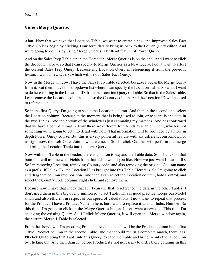# <span id="page-18-0"></span>**Video: Merge Queries**

**Alan:** Now that we have that Location Table, we want to create a new and improved Sales Fact Table. So let's begin by clicking Transform data to bring us back to the Power Query editor. And we're going to do this by using Merge Queries, a brilliant feature of Power Query.

And on the Sales Prep Table, up in the Home tab, Merge Queries is on the end. And I want to click the dropdown arrow, so that I can specify to Merge Queries as a New Query. I don't want to affect the current Sales Prep Query. Because my Location Query is referencing it from the previous lesson. I want a new Query, which will be our Sales Fact Query.

Now in the Merge window, I have the Sales Prep Table selected, because I began the Merge Query from it. But then I have this dropdown list where I can specify the Location Table. So what I want to do here is bring in the Location ID, from the Location Query or Table. So that in the Sales Table, I can remove the Location column, and also the Country column. And the Location ID will be used to reference that data.

So in the first Query, I'm going to select the Location column. And then in the second one, select the Location column. Because at the moment that is being used to join, or to identify the data in the two Tables. And the bottom of the window is just estimating my matches. And has confirmed that we have a complete match. Now there are different Join Kinds available in here, which is not something we're going to get into detail with now. That information will be provided by a more in depth Power Query course. But this is a very powerful feature with six different Join Kinds. For us right now, the Left Outer Join is what we need. So if I click Ok, that will perform the merge and bring the Location Table into this new Query.

Now with this Table in the header, there is a button to expand the Table data. So if I click on that button, it will ask me what Fields from that Table would you like. Now we just want Location ID. So I'm removing Location, removing Country code, and also removing the original Column name as a prefix. If I click Ok, the Location ID is brought into this Table. Here it is. So I'm going to click and drag that column into position. And then I can select the Location column, hold Control, and select the Country code column, right click, and remove them.

Because now I have that index that ID, I can use that to reference the data in the other Tables. I don't need them in this big over 1 million row Fact Table. This is good practice. Keeps our Model small and also efficient in respect of our speed of calculations. I now want to repeat that process for the Product. I have a Product Name in here, but I want to replace it with an Index Number. So this time, I'm going to click on the Merge Queries button. I don't want a new one. This time I'm changing the existing Query. So if I click Merge Queries, it will open this Merge window again, the current Merge 1 Table is selected.

From the dropdown, I'm choosing Products. And the match will be the Product column in the first Table, Product column in the second Table, and that should return a complete match, there it is. I'll click Ok to bring that Table into this Query, expand the Table and bring in only the ID column by clicking Ok. And then drag ID before Product, it's not necessary to order these columns in this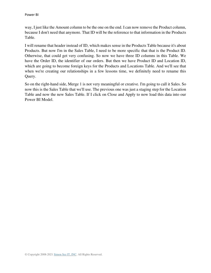way, I just like the Amount column to be the one on the end. I can now remove the Product column, because I don't need that anymore. That ID will be the reference to that information in the Products Table.

I will rename that header instead of ID, which makes sense in the Products Table because it's about Products. But now I'm in the Sales Table, I need to be more specific that that is the Product ID. Otherwise, that could get very confusing. So now we have three ID columns in this Table. We have the Order ID, the identifier of our orders. But then we have Product ID and Location ID, which are going to become foreign keys for the Products and Locations Table. And we'll see that when we're creating our relationships in a few lessons time, we definitely need to rename this Ouery.

So on the right-hand side, Merge 1 is not very meaningful or creative. I'm going to call it Sales. So now this is the Sales Table that we'll use. The previous one was just a staging step for the Location Table and now the new Sales Table. If I click on Close and Apply to now load this data into our Power BI Model.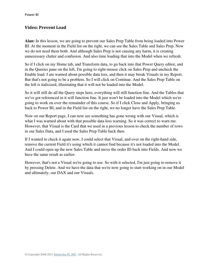# <span id="page-20-0"></span>**Video: Prevent Load**

**Alan:** In this lesson, we are going to prevent our Sales Prep Table from being loaded into Power BI. At the moment in the Field list on the right, we can see the Sales Table and Sales Prep. Now we do not need them both. And although Sales Prep is not causing any harm, it is creating unnecessary clutter and confusion. And also time loading that into the Model when we refresh.

So if I click on my Home tab, and Transform data, to go back into that Power Query editor, and in the Queries pane on the left, I'm going to right-mouse click on Sales Prep and uncheck the Enable load. I am warned about possible data loss, and then it may break Visuals in my Report. But that's not going to be a problem. So I will click on Continue. And the Sales Prep Table on the left is italicized, illustrating that it will not be loaded into the Model.

So it will still do all the Query steps here, everything will still function fine. And the Tables that we've got referenced in it will function fine. It just won't be loaded into the Model which we're going to work on over the remainder of this course. So if I click Close and Apply, bringing us back to Power BI, and in the Field list on the right, we no longer have the Sales Prep Table.

Now on our Report page, I can now see something has gone wrong with our Visual, which is what I was warned about with that possible data loss warning. So it was correct to warn me. However, that Visual is the Card that we used in a previous lesson to check the number of rows in our Sales Data, and I used the Sales Prep Table back then.

If I wanted to check it again now, I could select that Visual, and over on the right-hand side, remove the current Field it's using which it cannot find because it's not loaded into the Model. And I could open up the new Sales Table and move the order ID back into Fields. And now we have the same result as earlier.

However, that's not a Visual we're going to use. So with it selected, I'm just going to remove it by pressing Delete. And we have the data that we're now going to start working on in our Model and ultimately, our DAX and our Visuals.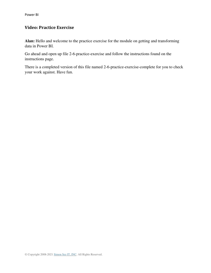# <span id="page-21-0"></span>**Video: Practice Exercise**

**Alan:** Hello and welcome to the practice exercise for the module on getting and transforming data in Power BI.

Go ahead and open up file 2-6-practice-exercise and follow the instructions found on the instructions page.

There is a completed version of this file named 2-6-practice-exercise-complete for you to check your work against. Have fun.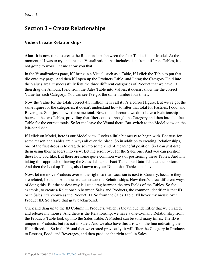# <span id="page-22-0"></span>**Section 3 – Create Relationships**

### <span id="page-22-1"></span>**Video: Create Relationships**

**Alan:** It is now time to create the Relationships between the four Tables in our Model. At the moment, if I was to try and create a Visualization, that includes data from different Tables, it's not going to work. Let me show you that.

In the Visualizations pane, if I bring in a Visual, such as a Table, if I click the Table to put that tile onto my page. And then if I open up the Products Table, and I drag the Category Field into the Values area, it successfully lists the three different categories of Product that we have. If I then drag the Amount Field from the Sales Table into Values, it doesn't show me the correct Value for each Category. You can see I've got the same number four times.

Now the Value for the totals correct 4.3 million, let's call it it's a correct figure. But we've got the same figure for the categories, it doesn't understand how to filter that total for Pastries, Food, and Beverages. So it just shows the same total. Now that is because we don't have a Relationship between the two Tables, providing that filter context through the Category and then into that fact Table for the correct totals. So let me leave the Visual there. But switch to the Model view on the left-hand side.

If I click on Model, here is our Model view. Looks a little bit messy to begin with. Because for some reason, the Tables are always all over the place. So in addition to creating Relationships, one of the first drops is to drag these into some kind of meaningful position. So I can just drag them using their headers into view. Let me scroll over for the Sales one. And you can position these how you like. But there are some quite common ways of positioning these Tables. And I'm taking this approach of having the Sales Table, our Fact Table, our Data Table at the bottom. And then the Lookup Tables, also known as your Dimension Tables up above.

Now, let me move Products over to the right, so that Location is next to Country, because they are related, like this. And now we can create the Relationships. Now there's a few different ways of doing this. But the easiest way is just a drag between the two Fields of the Tables. So for example, to create a Relationship between Sales and Products, the common identifier is that ID, or in Sales, it's known as the Product ID. So from the Sales Table, I'll hover my mouse over Product ID. So I have that gray background.

Click and drag up to the ID Column in Products, which is the unique identifier that we created, and release my mouse. And there is the Relationship, we have a one-to-many Relationship from the Products Table look up into the Sales Table. A Product can be sold many times. The ID is unique in Products, but it's not in Sales. And we also have this arrow on the line indicating the filter direction. So in the Visual that we created previously, it will filter the Category in Products to Pastries, Food, and Beverages, and then produce the right total in Sales.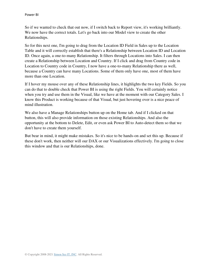So if we wanted to check that out now, if I switch back to Report view, it's working brilliantly. We now have the correct totals. Let's go back into our Model view to create the other Relationships.

So for this next one, I'm going to drag from the Location ID Field in Sales up to the Location Table and it will correctly establish that there's a Relationship between Location ID and Location ID. Once again, a one-to-many Relationship. It filters through Locations into Sales. I can then create a Relationship between Location and Country. If I click and drag from Country code in Location to Country code in Country, I now have a one-to-many Relationship there as well, because a Country can have many Locations. Some of them only have one, most of them have more than one Location.

If I hover my mouse over any of these Relationship lines, it highlights the two key Fields. So you can do that to double check that Power BI is using the right Fields. You will certainly notice when you try and use them in the Visual, like we have at the moment with our Category Sales. I know this Product is working because of that Visual, but just hovering over is a nice peace of mind illustration.

We also have a Manage Relationships button up on the Home tab. And if I clicked on that button, this will also provide information on those existing Relationships. And also the opportunity at the bottom to Delete, Edit, or even ask Power BI to Auto-detect them so that we don't have to create them yourself.

But bear in mind, it might make mistakes. So it's nice to be hands-on and set this up. Because if these don't work, then neither will our DAX or our Visualizations effectively. I'm going to close this window and that is our Relationships, done.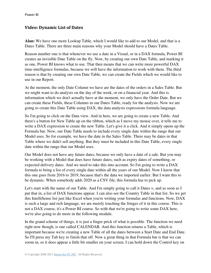## <span id="page-24-0"></span>**Video: Dynamic List of Dates**

**Alan:** We have one more Lookup Table, which I would like to add to our Model, and that is a Dates Table. There are three main reasons why your Model should have a Dates Table.

Reason number one is that whenever we use a date in a Visual, or in a DAX formula, Power BI creates an invisible Date Table on the fly. Now, by creating our own Date Table, and marking it as one, Power BI knows what to use. That then means that we can write more powerful DAX time-intelligence formulas, because we will have the information to work with them. The third reason is that by creating our own Date Table, we can create the Fields which we would like to use in our Report.

At the moment, the only Date Column we have are the dates of the orders in a Sales Table. But we might want to do analysis on the day of the week, or on a financial year. And this is information which we don't actually have at the moment, we only have the Order Date. But we can create these Fields, these Columns in our Dates Table, ready for the analysis. Now we are going to create this Date Table using DAX, the data analysis expressions formula language.

So I'm going to click on the Data view. And in here, we are going to create a new Table. And there's a button for New Table up on the ribbon, which as I move my mouse over, it tells me to write a DAX expression to create the new Table. Let's give it a click. And it simply opens up the Formula bar. Now, our Date Table needs to include every single date within the range that our Model uses. So for example, we have the date in the Sales Table. There may be dates in that Table where we didn't sell anything. But they must be included in this Date Table, every single date within the range that our Model uses.

Our Model does not have any future dates, because we only have a date of a sale. But you may be working with a Model that does have future dates, such as expiry dates of something, or expected delivery dates. And we need to take this into account. So I'm going to write a DAX formula to bring a list of every single date within all the years of our Model. Now I know that this one goes from 2016 to 2019, because that's the data we imported earlier. But I want this to be dynamic. When somebody adds 2020 as a CSV file, this formula has to pick up.

Let's start with the name of our Table. And I'm simply going to call it Dates =, and as soon as I put that in, a list of DAX functions appear. I can also see the Country Table in that list. So we get this IntelliSense list just like Excel when you're writing your formulas and functions. Now, DAX is such a large and rich language, we are merely touching the fringes of it in this course. This is not a DAX course, it's a Power BI course. So with that we're going to write some DAX here, we're also going to do more in the following module.

In the grand scheme of things, it is just a finger prick of what is possible. The function we need right now though, is one called CALENDAR. And this function returns a Table, which is important because we're creating a new Table of all the dates between a Start Date and End Date. So I'll press my Tab key to finish that off. Now a great thing in that Formula bar is that we can zoom in, so it does appear a little bit smaller on your screen, I can hold down the Control key on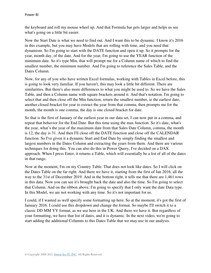the keyboard and roll my mouse wheel up. And that Formula bar gets larger and helps us see what's going on a little bit easier.

Now the Start Date is what we need to find out. And I want this to be dynamic. I know it's 2016 in this example, but you may have Models that are rolling with time, and you need that dynamism. So I'm going to start with the DATE function and open it up. So it prompts for the year, month day, of the date. And for the year, I'm going to use the YEAR function of the minimum date. So it's type Min, that will prompt me for a Column name of which to find the smallest number, the minimum number. And I'm going to reference the Sales Table, and the Dates Column.

Now, for any of you who have written Excel formulas, working with Tables in Excel before, this is going to look very familiar. If you haven't, this may look a little bit different. There are similarities. But there's also more differences to what you might be used to. So we have the Sales Table, and then a Column name with square brackets around it. And that's notation. I'm going to select that and then close off the Min function, return the smallest number, ie the earliest date, another closed bracket for year to extract the year from that comma, then prompts me for the month, the month is one comma, the day is one closed bracket for date.

So that is the first of January of the earliest year in our data set, I can now put in a comma, and repeat that behavior for the End Date. But this time using the max function. So it's date, what's the year, what's the year of the maximum date from that Sales Date Column, comma, the month is 12, the day is 31. And then I'll close off the DATE function and close off the CALENDAR function. So I've given it a dynamic Start and End Date by simply finding the smallest and largest numbers in the Dates Column and extracting the years from them. And there are various techniques for doing this. You can also do this in Power Query, I've decided on a DAX approach. When I press Enter, it returns a Table, which will essentially be a list of all of the dates in that range.

Now at the moment, I'm on my Country Table. That does not look like dates. So I will click on the Dates Table on the far right. And there we have it, starting from the first of Jan 2016, all the way to the 31st of December 2019. And in the bottom right, it tells me that there are 1,461 rows in this data. Now you can see it's brought back the date and also the time. So I'm going to select that Column. And on the ribbon above, I'm going to specify that I only want the date Data type. In this Model, we are not working with any time. So it's not important for us.

I could, if I wanted as well specify some formatting up here. So at the moment, it's got the first of January 2016. I could use this dropdown and change the format. So maybe I'll switch it to a classic DD MM YY format, as we use here in the UK. And there we have it. But regardless of your formatting, we have that list of dates, and it is dynamic. In the next video, we're going to start adding the additional Columns to this Dates Table that we may use in our analysis.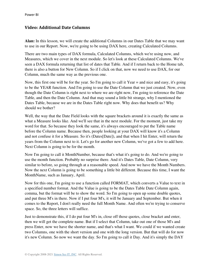### <span id="page-26-0"></span>**Video: Additional Date Columns**

**Alan:** In this lesson, we will create the additional Columns in our Dates Table that we may want to use in our Report. Now, we're going to be using DAX here, creating Calculated Columns.

There are two main types of DAX formula, Calculated Columns, which we're using now, and Measures, which we cover in the next module. So let's look at these Calculated Columns. We've seen a DAX formula returning that list of dates that Table. And if I return back to the Home tab, there is also a button for New Column. So if I click on that, now we need to use DAX, for our Column, much the same way as the previous one.

Now, this first one will be for the year. So I'm going to call it Year = and nice and easy, it's going to be the YEAR function. And I'm going to use the Date Column that we just created. Now, even though the Date Column is right next to where we are right now, I'm going to reference the Date Table, and then the Date Column. And that may sound a little bit strange, why I mentioned the Dates Table, because we are in the Dates Table right now. Why does that benefit us? Why should we bother?

Well, the way that the Date Field looks with the square brackets around it is exactly the same as what a Measure looks like. And we'll see that in the next module. For the moment, just take my word for that. So because they look the same, it's always encouraged to put the Table name before the Column name. Because then, people looking at your DAX will know it's a Column and not confuse it for a Measure. So it's (Dates[Date]), and that when I hit Enter, will return the years from the Column next to it. Let's go for another new Column, we've got a few to add here. Next Column is going to be for the month.

Now I'm going to call it MonthNumber, because that's what it's going to do. And we're going to use the month function. Probably no surprise there. And it's Dates Table, Date Column, very similar to before, so going through at a reasonable speed. And now we have the Month Numbers. Now the next Column is going to be something a little bit different. Because this time, I want the MonthName, such as January, April.

Now for this one, I'm going to use a function called FORMAT, which converts a Value to text in a specified number format. And the Value is going to be the Dates Table Date Column again, comma, but the format will be to show the word. So I'm going to open up some double quotes, and put three M's in there. Now if I put four M's, it will be January and September. But when it comes to the Report, I don't really need the full Month Name. And often we're trying to conserve space. So, the three letters will suffice.

Just to demonstrate this, if I do put four M's in, close off those quotes, close bracket and enter, then we will get the complete name. But if I select that Column, take out one of those M's and press Enter, now we have the shorter name, and that's what I want. We could if we wanted create two Columns, one with the short version and one with the long version. But that will do for now it's new Column. So now we want the day. So I'm going to call it Day. And it's simply the DAY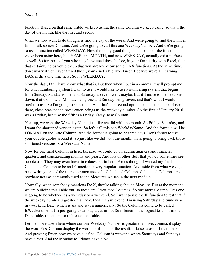function. Based on that same Table we keep using, the same Column we keep using, so that's the day of the month, like the first and second.

What we now want to do though, is find the day of the week. And we're going to find the number first of all, so new Column. And we're going to call this one WeekdayNumber. And we're going to use a function called WEEKDAY. Now the really good thing is that some of the functions we've been using here, like YEAR, and MONTH, and now WEEKDAY, actually exist in Excel as well. So for those of you who may have used these before, in your familiarity with Excel, then that certainly helps you pick up that you already know some DAX functions. At the same time, don't worry if you haven't used those, you're not a big Excel user. Because we're all learning DAX at the same time here. So it's WEEKDAY.

Now the date, I think we know what that is. But then when I put in a comma, it will prompt me for what numbering system I want to use. I would like to use a numbering system that begins from Sunday, Sunday is one, and Saturday is seven, well, maybe. But if I move to the next one down, that works with Monday being one and Sunday being seven, and that's what I would prefer to use. So I'm going to select that. And that's the second option, so puts the index of two in there, close bracket and press enter, brings us the weekday number. So the first of January 2016 was a Friday, because the fifth is a Friday. Okay, new Column.

Next up, we want the Weekday Name, just like we did with the month. So Friday, Saturday, and I want the shortened version again. So let's call this one WeekdayName. And the formula will be FORMAT on the Date Column. And the format is going to be three days. Don't forget to use your double quotes around it. So just like we did with the month, that's going to bring back those shortened versions of a Weekday Name.

Now for one final Column in here, because we could go on adding quarters and financial quarters, and concatenating months and years. And lots of other stuff that you do sometimes see people use. They may even have time dates put in here. For us though, I wanted my final Calculated Column to be an IF function, a very popular function. And aside from what we've just been writing, one of the more common uses of a Calculated Column. Calculated Columns are nowhere near as commonly used as the Measures we see in the next module.

Normally, when somebody mentions DAX, they're talking about a Measure. But at the moment we are building this Table out, so these are Calculated Columns. So one more Column. This one is going to be whether it's a weekday or a weekend. So I want to use the IF function to test that if the weekday number is greater than five, then it's a weekend. I'm using Saturday and Sunday as my weekend Date, which is six and seven numerically. So the Columns going to be called IsWeekend. And I'm just going to display a yes or no. So if function the logical test is if in the Date Table, remember to reference the Table.

Let me move down here where our one Weekday Number is greater than five, comma, display the word Yes. Comma display the word no, if it is not the result. If false, close off that bracket. And pressing Enter, now we have our final Column is weekend where Saturdays and Sundays have a Yes. And the Monday to Fridays have a No.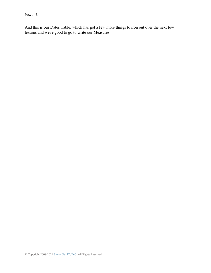And this is our Dates Table, which has got a few more things to iron out over the next few lessons and we're good to go to write our Measures.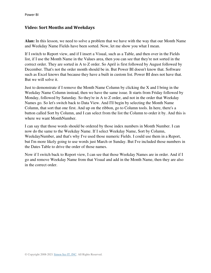#### <span id="page-29-0"></span>**Video: Sort Months and Weekdays**

**Alan:** In this lesson, we need to solve a problem that we have with the way that our Month Name and Weekday Name Fields have been sorted. Now, let me show you what I mean.

If I switch to Report view, and if I insert a Visual, such as a Table, and then over in the Fields list, if I use the Month Name in the Values area, then you can see that they're not sorted in the correct order. They are sorted in A to Z order. So April is first followed by August followed by December. That's not the order month should be in. But Power BI doesn't know that. Software such as Excel knows that because they have a built in custom list. Power BI does not have that. But we will solve it.

Just to demonstrate if I remove the Month Name Column by clicking the X and I bring in the Weekday Name Column instead, then we have the same issue. It starts from Friday followed by Monday, followed by Saturday. So they're in A to Z order, and not in the order that Weekday Names go. So let's switch back to Data View. And I'll begin by selecting the Month Name Column, that sort that one first. And up on the ribbon, go to Column tools. In here, there's a button called Sort by Column, and I can select from the list the Column to order it by. And this is where we want MonthNumber.

I can say that those words should be ordered by those index numbers in Month Number. I can now do the same to the Weekday Name. If I select Weekday Name, Sort by Column, WeekdayNumber, and that's why I've used those numeric Fields. I could use them in a Report, but I'm more likely going to use words just March or Sunday. But I've included those numbers in the Dates Table to drive the order of those names.

Now if I switch back to Report view, I can see that those Weekday Names are in order. And if I go and remove Weekday Name from that Visual and add in the Month Name, then they are also in the correct order.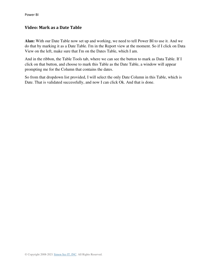### <span id="page-30-0"></span>**Video: Mark as a Date Table**

**Alan:** With our Date Table now set up and working, we need to tell Power BI to use it. And we do that by marking it as a Date Table. I'm in the Report view at the moment. So if I click on Data View on the left, make sure that I'm on the Dates Table, which I am.

And in the ribbon, the Table Tools tab, where we can see the button to mark as Data Table. If I click on that button, and choose to mark this Table as the Date Table, a window will appear prompting me for the Column that contains the dates.

So from that dropdown list provided, I will select the only Date Column in this Table, which is Date. That is validated successfully, and now I can click Ok. And that is done.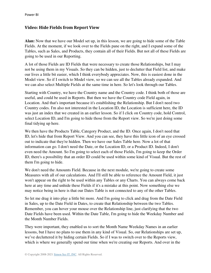### <span id="page-31-0"></span>**Video: Hide Fields from Report View**

**Alan:** Now that we have our Model set up, in this lesson, we are going to hide some of the Table Fields. At the moment, if we look over to the Fields pane on the right, and I expand some of the Tables, such as Sales, and Products, they contain all of their Fields. But not all of these Fields are going to be used in our Reporting.

A lot of those Fields are ID Fields that were necessary to create those Relationships, but I may not be using them in my Visuals. So they can be hidden, just to declutter that Field list, and make our lives a little bit easier, which I think everybody appreciates. Now, this is easiest done in the Model view. So if I switch to Model view, so we can see all the Tables already expanded. And we can also select Multiple Fields at the same time in here. So let's look through our Tables.

Starting with Country, we have the Country name and the Country code. I think both of those are useful, and could be used in Reports. But then we have the Country code Field again, in Location. And that's important because it's establishing the Relationship. But I don't need two Country codes. I'm also not interested in the Location ID, the Location is sufficient here, the ID was just an index that we created in an earlier lesson. So if I click on Country code, hold Control, select Location ID, and I'm going to hide those from the Report view. So we're just doing some final tidying up here.

We then have the Products Table, Category Product, and the ID. Once again, I don't need that ID, let's hide that from Report View. And you can see, they have this little icon of an eye crossed out to indicate that they're hidden. Then we have our Sales Table here. Now a lot of that information can go. I don't need the Date, or the Location ID, or a Product ID. Indeed, I don't even need the Amount. So I'm going to select each of those Fields, I'm going to keep the Order ID, there's a possibility that an order ID could be used within some kind of Visual. But the rest of them I'm going to hide.

We don't need the Amounts Field. Because in the next module, we're going to create some Measures with all of our calculations. And I'll still be able to reference the Amount Field, it just won't appear on the right to be used within any Tables or any Charts. You can always come back here at any time and unhide these Fields if it's a mistake at this point. Now something else we may notice being in here is that our Dates Table is not connected to any of the other Tables.

So let me drag it into play a little bit more. And I'm going to click and drag from the Date Field in Sales, up to the Date Field in Dates, to create that Relationship between the two Tables. Remember, you can hover your mouse over the Relationship line, just clarifying that the two Date Fields have been used. Within the Date Table, I'm going to hide the Weekday Number and the Month Number Fields.

They were important, they enabled us to sort the Month Name Weekday Names in an earlier lessons, but I have no plans to use them in any kind of Visual. So, our Relationships are set up, we've decluttered it by hiding certain Fields. So if I was to switch over to the Reports view, which is where we generally spend our time when we're creating our Reports. And over in the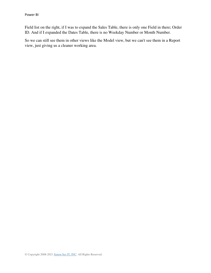Field list on the right, if I was to expand the Sales Table, there is only one Field in there; Order ID. And if I expanded the Dates Table, there is no Weekday Number or Month Number.

So we can still see them in other views like the Model view, but we can't see them in a Report view, just giving us a cleaner working area.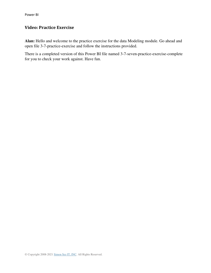# <span id="page-33-0"></span>**Video: Practice Exercise**

**Alan:** Hello and welcome to the practice exercise for the data Modeling module. Go ahead and open file 3-7-practice-exercise and follow the instructions provided.

There is a completed version of this Power BI file named 3-7-seven-practice-exercise-complete for you to check your work against. Have fun.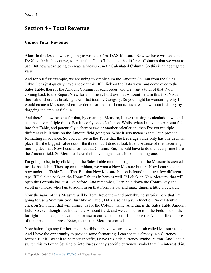# <span id="page-34-0"></span>**Section 4 – Total Revenue**

#### <span id="page-34-1"></span>**Video: Total Revenue**

**Alan:** In this lesson, we are going to write our first DAX Measure. Now we have written some DAX, so far in this course, to create that Dates Table, and the different Columns that we want to use. But now we're going to create a Measure, not a Calculated Column. So this is an aggregated value.

And for our first example, we are going to simply sum the Amount Column from the Sales Table. Let's just quickly have a look at this. If I click on the Data view, and come over to the Sales Table, there is the Amount Column for each order, and we want a total of that. Now coming back to the Report View for a moment, I did use that Amount field in this first Visual, this Table where it's breaking down that total by Category. So you might be wondering why I would create a Measure, when I've demonstrated that I can achieve results without it simply by dragging the amount field in.

And there's a few reasons for that, by creating a Measure, I have that single calculation, which I can then use multiple times. But it is only one calculation. Whilst when I move the Amount field into that Table, and potentially a chart or two or another calculation, then I've got multiple different calculations on the Amount field going on. What it also means is that I can provide formatting in advance. So you can see in the Table that the Beverage value only has one decimal place. It's the biggest value out of the three, but it doesn't look like it because of that deceiving missing decimal. Now I could format that Column. But, I would have to do that every time I use the Amount field. So Measures have their advantages. Let's look at creating one.

I'm going to begin by clicking on the Sales Table on the far right, so that the Measure is created inside that Table. Then, up on the ribbon, we want a New Measure button. Now I can see one now under the Table Tools Tab. But that New Measure button is found in quite a few different taps. If I clicked back on the Home Tab, it's in here as well. If I click on New Measure, that will open the Formula bar, just like before. And remember, I can hold down the Control key and scroll my mouse wheel up to zoom in on that Formula bar and make things a little bit clearer.

Now the name of this Measure will be Total Revenue = and probably no surprise here that I'm going to use a Sum function. Just like in Excel, DAX also has a sum function. So if I double click on Sum here, that will prompt us for the Column name. And that is the Sales Table Amount field. So even though I've hidden the Amount field, and we cannot see it in the Field list, on the far right-hand side, it is available for use in our calculations. If I choose the Amount field, close of that bracket, and press Enter, that is that Measure created.

Now before I go any further up on the ribbon above, we are now on a Tab called Measure tools. And I have the opportunity to provide some formatting. I can see it is already in a Currency format. But if I want it to be more specific, I have this little currency symbol button. And I could switch this to Pound Sterling or into Euros or any specific currency symbol that I'm interested in.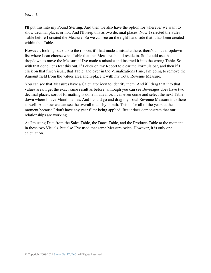I'll put this into my Pound Sterling. And then we also have the option for wherever we want to show decimal places or not. And I'll keep this as two decimal places. Now I selected the Sales Table before I created the Measure. So we can see on the right-hand side that it has been created within that Table.

However, looking back up to the ribbon, if I had made a mistake there, there's a nice dropdown list where I can choose what Table that this Measure should reside in. So I could use that dropdown to move the Measure if I've made a mistake and inserted it into the wrong Table. So with that done, let's test this out. If I click on my Report to clear the Formula bar, and then if I click on that first Visual, that Table, and over in the Visualizations Pane, I'm going to remove the Amount field from the values area and replace it with my Total Revenue Measure.

You can see that Measures have a Calculator icon to identify them. And if I drag that into that values area, I get the exact same result as before, although you can see Beverages does have two decimal places, sort of formatting is done in advance. I can even come and select the next Table down where I have Month names. And I could go and drag my Total Revenue Measure into there as well. And now we can see the overall totals by month. This is for all of the years at the moment because I don't have any year filter being applied. But it does demonstrate that our relationships are working.

As I'm using Data from the Sales Table, the Dates Table, and the Products Table at the moment in these two Visuals, but also I've used that same Measure twice. However, it is only one calculation.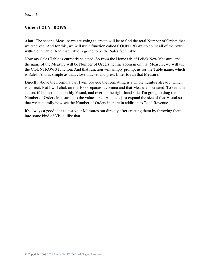## **Video: COUNTROWS**

**Alan:** The second Measure we are going to create will be to find the total Number of Orders that we received. And for this, we will use a function called COUNTROWS to count all of the rows within our Table. And that Table is going to be the Sales fact Table.

Now my Sales Table is currently selected. So from the Home tab, if I click New Measure, and the name of the Measure will be Number of Orders, let me zoom in on that Measure, we will use the COUNTROWS function. And that function will simply prompt us for the Table name, which is Sales. And as simple as that, close bracket and press Enter to run that Measure.

Directly above the Formula bar, I will provide the formatting is a whole number already, which is correct. But I will click on the 1000 separator, comma and that Measure is created. To see it in action, if I select this monthly Visual, and over on the right-hand side, I'm going to drag the Number of Orders Measure into the values area. And let's just expand the size of that Visual so that we can easily now see the Number of Orders in there in addition to Total Revenue.

It's always a good idea to test your Measures out directly after creating them by throwing them into some kind of Visual like that.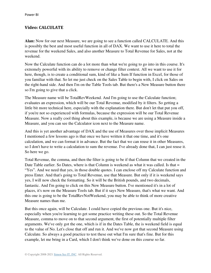## **Video: CALCULATE**

**Alan:** Now for our next Measure, we are going to see a function called CALCULATE. And this is possibly the best and most useful function in all of DAX. We want to use it here to total the revenue for the weekend Sales, and also another Measure to Total Revenue for Sales, not at the weekend.

Now the Calculate function can do a lot more than what we're going to go into in this course. It's extremely powerful with its ability to remove or change filter context. All we want to use it for here, though, is to create a conditional sum, kind of like a Sum If function in Excel, for those of you familiar with that. So let me just check on the Sales Table to begin with, I click on Sales on the right-hand side. And then I'm on the Table Tools tab. But there's a New Measure button there so I'm going to give that a click.

The Measure name will be TotalRevWeekend. And I'm going to use the Calculate function; evaluates an expression, which will be our Total Revenue, modified by it filters. So getting a little bit more technical here, especially with the explanation there. But don't let that put you off, if you're not so experienced with formulas, because the expression will be our Total Revenue Measure. Now a really cool thing about this example, is because we are using a Measure inside a Measure, and you can see the Calculator icon next to the Measure name.

And this is yet another advantage of DAX and the use of Measures over those implicit Measures I mentioned a few lessons ago is that once we have written it that one time, and it's one calculation, and we can format it in advance. But the fact that we can reuse it in other Measures, so I don't have to write a calculation to sum the revenue. I've already done that, I can just reuse it. So here we go.

Total Revenue, the comma, and then the filter is going to be if that Column that we created in the Date Table earlier. So Dates, where is that Column is weekend as what it was called. Is that = "Yes". And we need that yes, in those double quotes. I can enclose off my Calculate function and press Enter. And that's going to Total Revenue, use that Measure. But only if it is weekend says yes, I will now check the formatting. So it will be the British pounds, and two decimals, fantastic. And I'm going to click on this New Measure button. I've mentioned it's in a lot of places, it's now on the Measure Tools tab. But if it says New Measure, that's what we want. And this one is going to be the TotalRevNotWeekend, you may be able to think of more creative Measure names than me.

But this once again, will be Calculate. I could have copied the previous one. But it's nice, especially when you're learning to get some practice writing these out. So the Total Revenue Measure, comma to move on to that second argument, the first of potentially multiple filter arguments. We've only got the one, which is if in the Dates Table, the is weekend field is equal to the value of No. Let's close that off and run it. And we've now got that second Measure using Calculate. So always a good practice to test these out what I'm sure that's fine. But for this example, let me bring in a Card, which I don't think we've done on this course so far.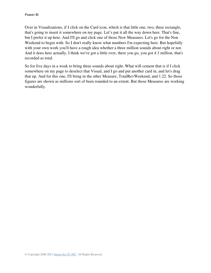Over in Visualizations, if I click on the Card icon, which is that little one, two, three rectangle, that's going to insert it somewhere on my page. Let's put it all the way down here. That's fine, but I prefer it up here. And I'll go and click one of those New Measures. Let's go for the Non Weekend to begin with. So I don't really know what numbers I'm expecting here. But hopefully with your own work you'll have a rough idea whether a three million sounds about right or not. And it does here actually, I think we've got a little over, there you go, you got 4.3 million, that's recorded as total.

So for five days in a week to bring three sounds about right. What will cement that is if I click somewhere on my page to deselect that Visual, and I go and put another card in, and let's drag that up. And for this one, I'll bring in the other Measure, TotalRevWeekend, and 1.22. So those figures are shown as millions sort of been rounded to an extent. But those Measures are working wonderfully.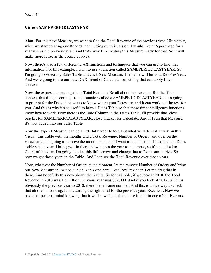#### **Video: SAMEPERIODLASTYEAR**

**Alan:** For this next Measure, we want to find the Total Revenue of the previous year. Ultimately, when we start creating our Reports, and putting our Visuals on, I would like a Report page for a year versus the previous year. And that's why I'm creating this Measure ready for that. So it will make more sense as the course evolves.

Now, there's also a few different DAX functions and techniques that you can use to find that information. For this example, I want to use a function called SAMEPERIODLASTYEAR. So I'm going to select my Sales Table and click New Measure. The name will be TotalRevPrevYear. And we're going to use our new DAX friend of Calculate, something that can apply filter context.

Now, the expression once again, is Total Revenue. So all about this revenue. But the filter context, this time, is coming from a function called a SAMEPERIODLASTYEAR, that's going to prompt for the Dates, just wants to know where your Dates are, and it can work out the rest for you. And this is why it's so useful to have a Dates Table so that these time intelligence functions know how to work. Now there is the Date Column in the Dates Table, I'll provide that, close bracket for SAMEPERIODLASTYEAR, close bracket for Calculate. And if I run that Measure, it's now added into our Sales Table.

Now this type of Measure can be a little bit harder to test. But what we'll do is if I click on this Visual, this Table with the months and a Total Revenue, Number of Orders, and over on the values area, I'm going to remove the month name, and I want to replace that if I expand the Dates Table with a year, I bring year in there. Now it sees the year as a number, so it's defaulted to Count of the year. I'm going to click this little arrow and change that to Don't summarize. So now we get those years in the Table. And I can see the Total Revenue over those years.

Now, whatever the Number of Orders at the moment, let me remove Number of Orders and bring our New Measure in instead, which is this one here; TotalRevPrevYear. Let me drag that in there. And hopefully this now shows the results. So for example, if we look at 2018, the Total Revenue in 2018 was 1.3 million, previous year was 809,000. And if you look at 2017, which is obviously the previous year to 2018, there is that same number. And this is a nice way to check that oh that is working. It is returning the right total for the previous year. Excellent. Now we have that peace of mind knowing that it works, we'll be able to use it later in one of our Reports.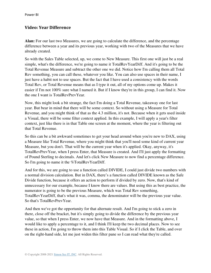### **Video: Year Difference**

**Alan:** For our last two Measures, we are going to calculate the difference, and the percentage difference between a year and its previous year, working with two of the Measures that we have already created.

So with the Sales Table selected, up, we come to New Measure. This first one will just be a real simple, what's the difference, we're going to name it TotalRevYearDiff. And it's going to be the Total Revenue Measure and subtract the other one we did. Notice how I'm calling them all Total Rev something, you can call these, whatever you like. You can also use spaces in their name, I just have a habit not to use spaces. But the fact that I have used a consistency with the words Total Rev, or Total Revenue means that as I type it out, all of my options come up. Makes it easier if I'm not 100% sure what I named it. But if I know they're in this group, I can find it. Now the one I want is TotalRevPrevYear.

Now, this might look a bit strange, the fact I'm doing a Total Revenue, takeaway one for last year. But bear in mind that there will be some context. So without using a Measure for Total Revenue, and you might think of that as the 4.3 million, it's not. Because when it gets used inside a Visual, there will be some filter context applied. In this example, I will apply a year's filter context, just like there is in that Table one screen at the moment, where the year is filtering out that Total Revenue.

So this can be a bit awkward sometimes to get your head around when you're new to DAX, using a Measure like Total Revenue, where you might think that you'll need some kind of current year Measure, but you don't. That will be the current year when it's applied. Okay, anyway, it's TotalRevPrevYear, when I press Enter, that Measure is created. And I'll just apply the formatting of Pound Sterling to decimals. And let's click New Measure to now find a percentage difference. So I'm going to name it the %TotalRevYearDiff.

And for this, we are going to use a function called DIVIDE, I could just divide two numbers with a normal division calculation. But in DAX, there's a function called DIVIDE known as the Safe Divide function, because it offers an action to perform if divided by zero. Now, that's kind of unnecessary for our example, because I know there are values. But using this as best practice, the numerator is going to be the previous Measure, which was Total Rev something, TotalRevYearDiff, that's what it was, comma, the denominator will be the previous year value. So that's TotalRevPrevYear.

And then we've got the opportunity for that alternate result. And I'm going to stick a zero in there, close off the bracket, but it's simply going to divide the difference by the previous year value, so that when I press Enter, we now have that Measure. And in the formatting above, I would like to apply a percentage to it, and I think I'll keep the two decimal places. Now to see these in action, I'm going to throw them into this Table Visual. So if I click the Table, and over on the right-hand side, let me just widen this filter pane so I can read what they're called.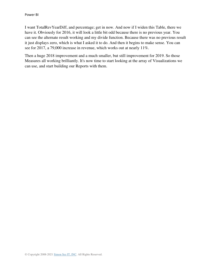I want TotalRevYearDiff, and percentage; get in now. And now if I widen this Table, there we have it. Obviously for 2016, it will look a little bit odd because there is no previous year. You can see the alternate result working and my divide function. Because there was no previous result it just displays zero, which is what I asked it to do. And then it begins to make sense. You can see for 2017, a 79,000 increase in revenue, which works out at nearly 11%.

Then a huge 2018 improvement and a much smaller, but still improvement for 2019. So those Measures all working brilliantly. It's now time to start looking at the array of Visualizations we can use, and start building our Reports with them.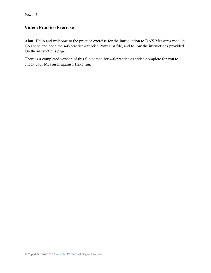# **Video: Practice Exercise**

**Alan:** Hello and welcome to the practice exercise for the introduction to DAX Measures module. Go ahead and open the 4-6-practice-exercise Power BI file, and follow the instructions provided. On the instructions page.

There is a completed version of this file named for 4-6-practice-exercise-complete for you to check your Measures against. Have fun.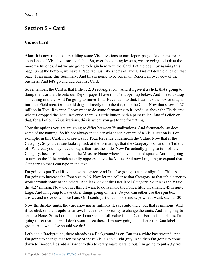# **Section 5 – Card**

# **Video: Card**

**Alan:** It is now time to start adding some Visualizations to our Report pages. And there are an abundance of Visualizations available. So, over the coming lessons, we are going to look at the more useful ones. And we are going to begin here with the Card. Let me begin by naming this page. So at the bottom, we have a Page tab, just like sheets of Excel. And if I double click on that page, I can name this Summary. And this is going to be our main Report, an overview of the business. And let's go and add our first Card.

So remember, the Card is that little 1, 2, 3 rectangle icon. And if I give it a click, that's going to dump that Card, a tile onto our Report page. I have this Field open up below. And I need to drag something in there. And I'm going to move Total Revenue into that. I can tick the box or drag it into that Field area. Or, I could drag it directly onto the tile, onto the Card. Now that shows 4.27 million in Total Revenue. I now want to do some formatting to it. And just above the Fields area where I dropped the Total Revenue, there is a little button with a paint roller. And if I click on that, for all of our Visualizations, this is where you get to the formatting.

Now the options you get are going to differ between Visualizations. And fortunately, so does some of the naming. So it's not always that clear what each element of a Visualization is. For example, in this Card, I can see it says Total Revenue underneath the Value. Now that is the Category. So you can see looking back at the formatting, that the Category is on and the Title is off. Whereas you may have thought that was the Title. Now I'm actually going to turn off the Category, because I don't want the Measure Name where I have not used spaces. And I'm going to turn on the Title, which actually appears above the Value. And now I'm going to expand that Category so that I can type in the text.

I'm going to put Total Revenue with a space. And I'm also going to center align that Title. And I'm going to increase the Font size to 16. Now let me collapse that Category so that it's cleaner to work through some of the others. And let's look at the Data label Category. So this is the Value, the 4.27 million. Now the first thing I want to do is make the Font a little bit smaller, 45 is quite large. And I'm going to have other things going on here. So you can either use the spin box arrows and move down like I am. Or, I could just click inside and type what I want, such as 30.

Now the display units, they are showing as millions. It says auto there, but that is millions. And if we click on the dropdown arrow, I have the opportunity to change the units. And I'm going to set it to None. So as I do that, now I can see the full Value in that Card. For decimal places, I'm going to set that to zero, I don't want to see those. I'm now going to collapse the Data label group. And what else should we do?

Let's add a Background, there already is a Background is on. But it's a white background. And I'm going to change that for many of these Visuals to a light gray. And then I'm going to come down to Border, let's add a Border to this to really make it stand out. I'm going to put a 3 pixel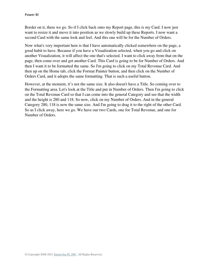Border on it, there we go. So if I click back onto my Report page, this is my Card. I now just want to resize it and move it into position as we slowly build up these Reports. I now want a second Card with the same look and feel. And this one will be for the Number of Orders.

Now what's very important here is that I have automatically clicked somewhere on the page, a good habit to have. Because if you have a Visualization selected, when you go and click on another Visualization, it will affect the one that's selected. I want to click away from that on the page, then come over and get another Card. This Card is going to be for Number of Orders. And then I want it to be formatted the same. So I'm going to click on my Total Revenue Card. And then up on the Home tab, click the Format Painter button, and then click on the Number of Orders Card, and it adopts the same formatting. That is such a useful button.

However, at the moment, it's not the same size. It also doesn't have a Title. So coming over to the Formatting area. Let's look at the Title and put in Number of Orders. Then I'm going to click on the Total Revenue Card so that I can come into the general Category and see that the width and the height is 280 and 118. So now, click on my Number of Orders. And in the general Category 280, 118 is now the same size. And I'm going to drag it to the right of the other Card. So as I click away, here we go. We have our two Cards, one for Total Revenue, and one for Number of Orders.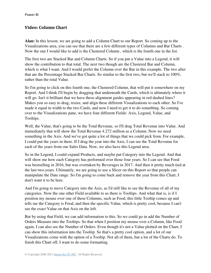## **Video: Column Chart**

**Alan:** In this lesson, we are going to add a Column Chart to our Report. So coming up to the Visualizations area, you can see that there are a few different types of Columns and Bar Charts . Now the one I would like to add is the Clustered Column , which is the fourth one in the list.

The first two are Stacked Bar and Column Charts. So if you put a Value into a Legend, it will show the contribution to that total. The next two though are the Clustered Bar and Column, which is what I want. And I would prefer the Column over the Bar in this example. The two after that are the Percentage Stacked Bar Charts. So similar to the first two, but we'll stack to 100%, rather than the total Value.

So I'm going to click on this fourth one, the Clustered Column, that will put it somewhere on my Report. And I think I'll begin by dragging that underneath the Cards, which is ultimately where it will go. Isn't it brilliant that we have these alignment guides appearing in red dashed lines? Makes you so easy to drag, resize, and align these different Visualizations to each other. So I've made it equal in width to the two Cards, and now I need to get it to do something. So coming over to the Visualizations pane, we have four different Fields: Axis, Legend, Value, and Tooltips.

Well, the Value, that's going to be the Total Revenue, so I'll drag Total Revenue into Value. And immediately that will show the Total Revenue 4.272 million as a Column. Now we need something in the Axis. And we've got quite a lot of things that we could pick from. For example, I could put the years in there. If I drag the year into the Axis, I can see the Total Revenue for each of the years from our Sales Data. Now, we also have this Legend area.

So in the Legend, I could expand Products, and maybe put Category into the Legend. And that will show me how each Category has performed over those four years. So I can see that Food was bestselling in 2016, but was overtaken by Beverages in 2017. And then it pretty much tied at the last two-years. Ultimately, we are going to use a Slicer on this Report so that people can manipulate the Date range. So I'm going to come back and remove the year from this Chart, I don't want it to be here.

And I'm going to move Category into the Axis, as I'd still like to see the Revenue of all of my categories. Now the one other Field available to us there is Tooltips. And what that is, is if I position my mouse over one of these Columns, such as Food, this little Tooltip comes up and tells me the Category is Food, and then the specific Value, which is pretty cool, because I can't see the exact Value on that Axis on the left.

But by using that Field, we can add information to this. So we could go in add the Number of Orders Measure into the Tooltips. So that when I position my mouse over a Column, like Food again, I can also see the Number of Orders. Even though it's not a Value plotted on the Chart, I can show this information into the Tooltip. So that's a pretty cool option, and a lot of our Visualizations come with the option of a Tooltip. Not all of them, but a lot of the Charts do. To finish this Chart off, I want to do some formatting.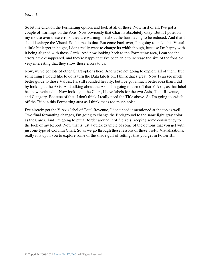So let me click on the Formatting option, and look at all of these. Now first of all, I've got a couple of warnings on the Axis. Now obviously that Chart is absolutely okay. But if I position my mouse over these errors, they are warning me about the font having to be reduced. And that I should enlarge the Visual. So, let me do that. But come back over, I'm going to make this Visual a little bit larger in height, I don't really want to change its width though, because I'm happy with it being aligned with those Cards. And now looking back to the Formatting area, I can see the errors have disappeared, and they're happy that I've been able to increase the size of the font. So very interesting that they show those errors to us.

Now, we've got lots of other Chart options here. And we're not going to explore all of them. But something I would like to do is turn the Data labels on, I think that's great. Now I can see much better guide to those Values. It's still rounded heavily, but I've got a much better idea than I did by looking at the Axis. And talking about the Axis, I'm going to turn off that Y Axis, as that label has now replaced it. Now looking at the Chart, I have labels for the two Axis, Total Revenue, and Category. Because of that, I don't think I really need the Title above. So I'm going to switch off the Title in this Formatting area as I think that's too much noise.

I've already got the Y Axis label of Total Revenue, I don't need it mentioned at the top as well. Two final formatting changes, I'm going to change the Background to the same light gray color as the Cards. And I'm going to put a Border around it of 3 pixels, keeping some consistency to the look of my Report. Now that is just a quick example of some of the options that you get with just one type of Column Chart. So as we go through these lessons of these useful Visualizations, really it is upon you to explore some of the shade gulf of settings that you get in Power BI.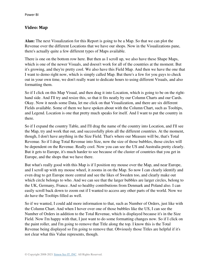#### **Video: Map**

**Alan:** The next Visualization for this Report is going to be a Map. So that we can plot the Revenue over the different Locations that we have our shops. Now in the Visualizations pane, there's actually quite a few different types of Maps available.

There is one on the bottom row here. But then as I scroll up, we also have these Shape Maps, which is one of the newer Visuals, and doesn't work for all of the countries at the moment. But it's growing, and they're pretty cool. We also have this Field Map. And then we have the one that I want to demo right now, which is simply called Map. But there's a few for you guys to check out in your own time, we don't really want to dedicate hours to using different Visuals, and also formatting them.

So if I click on this Map Visual, and then drag it into Location, which is going to be on the righthand side. And I'll try and resize this, so that it fits neatly by our Column Charts and our Cards. Okay. Now it needs some Data, let me click on that Visualization, and there are six different Fields available. Some of them we have spoken about with the Column Chart, such as Tooltips, and Legend. Location is one that pretty much speaks for itself. And I want to put the country in there.

So if I expand the country Table, and I'll drag the name of the country into Location, and I'll see the Map, try and work that out, and successfully plots all the different countries. At the moment, though, I don't have anything in the Size Field. That's where our Measure will be, that's Total Revenue. So if I drag Total Revenue into Size, now the size of those bubbles, those circles will be dependent on the Revenue. Really cool. Now you can see the US and Australia pretty clearly. But it gets to Europe, it's much harder to see because of the cluster of countries that you get in Europe, and the shops that we have there.

But what's really good with this Map is if I position my mouse over the Map, and near Europe, and I scroll up with my mouse wheel, it zooms in on the Map. So now I can clearly identify and even drag to get Europe more central and see the likes of Sweden too, and clearly make out which circle belongs to who. And we can see that the larger bubbles are larger circles, belong to the UK, Germany, France. And so healthy contributions from Denmark and Poland also. I can easily scroll back down to zoom out if I wanted to access any other parts of the world. Now we do have the Tooltips filled as well.

So if we wanted, I could add more information to that, such as Number of Orders, just like with the Column Chart. And when I hover over one of those bubbles like the US, I can see the Number of Orders in addition to the Total Revenue, which is displayed because it's in the Size Field. Now I'm happy with that, I just want to do some formatting changes now. So if I click on the paint roller, and I'm going to remove that Title along the top. I know this is the Total Revenue being displayed so I'm going to remove that. Obviously those Titles are helpful if it's not clear what this Value represents, though.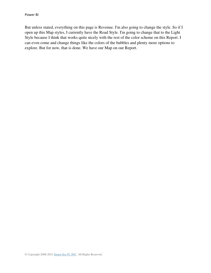But unless stated, everything on this page is Revenue. I'm also going to change the style. So if I open up this Map styles, I currently have the Road Style. I'm going to change that to the Light Style because I think that works quite nicely with the rest of the color scheme on this Report. I can even come and change things like the colors of the bubbles and plenty more options to explore. But for now, that is done. We have our Map on our Report.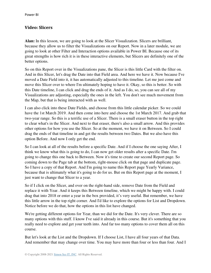### **Video: Slicers**

**Alan:** In this lesson, we are going to look at the Slicer Visualization. Slicers are brilliant, because they allow us to filter the Visualizations on our Report. Now in a later module, we are going to look at other Filter and Interaction options available in Power BI. Because one of its great strengths is how rich it is in these interactive elements, but Slicers are definitely one of the better options.

So on this Report over in the Visualizations pane, the Slicer is this little Card with the filter on. And in this Slicer, let's drag the Date into that Field area. And here we have it. Now because I've moved a Date Field into it, it has automatically adjusted to this timeline. Let me just come and move this Slicer over to where I'm ultimately hoping to have it. Okay, so this is better. So with this Date timeline, I can click and drag the ends of it. And as I do, so, you can see all of my Visualizations are adjusting, especially the ones in the left. You don't see much movement from the Map, but that is being interacted with as well.

I can also click into these Date Fields, and choose from this little calendar picker. So we could have the 1st March 2019. And then come into here and choose the 1st March 2017. And grab that two-year range. So this is a terrific use of a Slicer. There is a small eraser button in the top right to clear what's in the Slicer. And next to that eraser, there's also a small arrow. And this provides other options for how you use the Slicer. So at the moment, we have it on Between. So I could drag the ends of that timeline in and get the results between two Dates. But we also have this option Before. And now I only get the end.

So I can look at all of the results before a specific Date. And if I choose the one saying After, I think we know what this is going to do, I can now get older results after a specific Date. I'm going to change this one back to Between. Now it's time to create our second Report page. So coming down to the Page tab at the bottom, right-mouse click on that page and duplicate page. So I have a copy of that Report. And I'm going to name this Report page Yearly Variance, because that is ultimately what it's going to do for us. But on this Report page at the moment, I just want to change that Slicer to a year.

So if I click on the Slicer, and over on the right-hand side, remove Date from the Field and replace it with Year. And it keeps this Between timeline, which we might be happy with. I could drag that into 2018 or enter a year in the box provided, it's very useful. But remember, we have this little arrow in the top right corner. And I'd like to explore the options for List and Dropdown. Notice before we do that, how the options in this list have changed.

We're getting different options for Year, than we did for the Date. It's very clever. There are so many options with this stuff. I know I've said it already in this course. But it's something that you really need to explore and get your teeth into. And far too many options to cover them all on this course.

But let's look at the List and the Dropdown. If I choose List, I have all four years of that Data. And remember that may change over time. You may have more than four or less than four. And I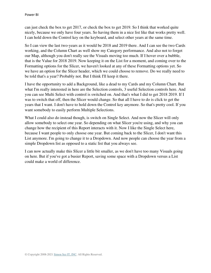can just check the box to get 2017, or check the box to get 2019. So I think that worked quite nicely, because we only have four years. So having them in a nice list like that works pretty well. I can hold down the Control key on the keyboard, and select other years at the same time.

So I can view the last two-years as it would be 2018 and 2019 there. And I can see the two Cards working, and the Column Chart as well show my Category performance. And also not to forget our Map, although you don't really see the Visuals moving too much. If I hover over a bubble, that is the Value for 2018 2019. Now keeping it on the List for a moment, and coming over to the Formatting options for the Slicer, we haven't looked at any of these Formatting options yet. So we have an option for the Slicer header, which we could choose to remove. Do we really need to be told that's a year? Probably not. But I think I'll keep it there.

I have the opportunity to add a Background, like a dead to my Cards and my Column Chart. But what I'm really interested in here are the Selection controls, 3 useful Selection controls here. And you can see Multi Select with control is switched on. And that's what I did to get 2018 2019. If I was to switch that off, then the Slicer would change. So that all I have to do is click to get the years that I want. I don't have to hold down the Control key anymore. So that's pretty cool. If you want somebody to easily perform Multiple Selections.

What I could also do instead though, is switch on Single Select. And now the Slicer will only allow somebody to select one year. So depending on what Slicer you're using, and why you can change how the recipient of this Report interacts with it. Now I like the Single Select here, because I want people to only choose one year. But coming back to the Slicer, I don't want this List anymore. I'm going to change it to a Dropdown. And now people can choose the year from a simple Dropdown list as opposed to a static list that you always see.

I can now actually make this Slicer a little bit smaller, as we don't have too many Visuals going on here. But if you've got a busier Report, saving some space with a Dropdown versus a List could make a world of difference.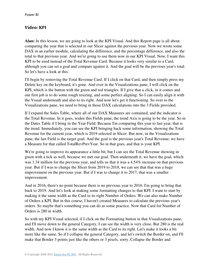#### **Video: KPI**

**Alan:** In this lesson, we are going to look at the KPI Visual. And this Report page is all about comparing the year that is selected in our Slicer against the previous year. Now we wrote some DAX in an earlier module, calculating the difference, and the percentage difference, and also the total to that previous year. And we're going to use them now in our KPI Visual. Now, I want this KPI to be used instead of the Total Revenue Card. Because it looks very similar to a Card, although you can set a goal and compare against it. And the goal will be the previous year's total. So let's have a look at this.

I'll begin by removing the Total Revenue Card. If I click on that Card, and then simply press my Delete key on the keyboard, it's gone. And over in the Visualizations pane, I will click on the KPI, which is the button with the green and red triangles. If I give that a click, in it comes and our first job is to do some rough resizing, and some perfect aligning. So I can easily align it with the Visual underneath and also to its right. And now let's get it functioning. So over to the Visualizations pane, we need to bring in those DAX calculations into the 3 Fields provided.

If I expand the Sales Table, where all of our DAX Measures are contained, and the indicator is the Total Revenue. In it goes, widen this Fields pane, the trend Axis is going to be the year. So in the Dates Table if I bring in the Year Field. Because I'm comparing this year to last year, that is the trend. Immediately, you can see the KPI bringing back some information, showing the Total Revenue for the current year, which is 2019 selected in Slicer. But now, in the Visualizations pane, the last Field is the target goal. And the goal is the previous year's Total Revenue, we have a Measure for that called TotalRevPrevYear. So in that goes, and that is your KPI.

We're going to improve its appearance a little bit, but I can see the Total Revenue showing in green with a tick as well, because we met our goal. Then underneath it, we have the goal, which was 1.34 million for the previous year, and tells us that it was a 4.54% increase on that previous year. But if I was to change the Slicer from 2019 to 2018, we can see that that was a huge improvement on the previous year. But if I was to change it to 2017, that was a smaller improvement.

And in 2016, there's no point because there is no previous year to 2016. I'm going to bring that back to 2019. And let's look at making some formatting changes to that KPI. I want to start by making it the same width as the Card to its right Number of Orders. We can also make Number of Orders a KPI. But in this course, I haven't created Measures to calculate the previous year's orders. So maybe that's something you can do as some practice. Now that Card for Number of Orders is 280 in width.

So with my KPI Visual selected, if I click on the Formatting button in that Visualizations pane, and I'll move down to the general Category, I can see the width is very close. But 280 is the real width. And now I know it is the same width as the Card to its right. Let's make it looks a bit more like the same. So if I collapse the general Category, and let's switch the Border on, and I'll make that Border 3 points just like the others or 3 pixels, sorry. Collapse the Border and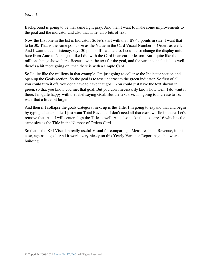Background is going to be that same light gray. And then I want to make some improvements to the goal and the indicator and also that Title, all 3 bits of text.

Now the first one in the list is Indicator. So let's start with that. It's 45 points in size, I want that to be 30. That is the same point size as the Value in the Card Visual Number of Orders as well. And I want that consistency, says 30 points. If I wanted to, I could also change the display units here from Auto to None, just like I did with the Card in an earlier lesson. But I quite like the millions being shown here. Because with the text for the goal, and the variance included, as well there's a bit more going on, than there is with a simple Card.

So I quite like the millions in that example. I'm just going to collapse the Indicator section and open up the Goals section. So the goal is to text underneath the green indicator. So first of all, you could turn it off, you don't have to have that goal. You could just have the text shown in green, so that you know you met that goal. But you don't necessarily know how well. I do want it there, I'm quite happy with the label saying Goal. But the text size, I'm going to increase to 16, want that a little bit larger.

And then if I collapse the goals Category, next up is the Title. I'm going to expand that and begin by typing a better Title. I just want Total Revenue. I don't need all that extra waffle in there. Let's remove that. And I will center align the Title as well. And also make the text size 16 which is the same size as the Title in the Number of Orders Card.

So that is the KPI Visual, a really useful Visual for comparing a Measure, Total Revenue, in this case, against a goal. And it works very nicely on this Yearly Variance Report page that we're building.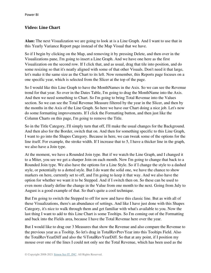## **Video: Line Chart**

**Alan:** The next Visualization we are going to look at is a Line Graph. And I want to use that in this Yearly Variance Report page instead of the Map Visual that we have.

So if I begin by clicking on the Map, and removing it by pressing Delete, and then over in the Visualizations pane, I'm going to insert a Line Graph. And we have one here as the first Visualization on the second row. If I click that, and as usual, drag that tile into position, and do some resizing so that it's neatly aligned with some of that other Visuals. Don't need it that large, let's make it the same size as the Chart to its left. Now remember, this Reports page focuses on a one specific year, which is selected from the Slicer at the top of the page.

So I would like this Line Graph to have the MonthNames in the Axis. So we can see the Revenue trend for that year. So over in the Dates Table, I'm going to drag the MonthName into the Axis. And then we need something to Chart. So I'm going to bring Total Revenue into the Values section. So we can see the Total Revenue Measure filtered by the year in the Slicer, and then by the months in the Axis of the Line Graph. So here we have our Chart doing a nice job. Let's now do some formatting improvements. If I click the Formatting button, and then just like the Column Charts on this page, I'm going to remove the Title.

So in the Title Category, I'll simply turn that off, I'll make the usual changes for the Background. And then also for the Border, switch that on. And then for something specific to this Line Graph, I want to go into the Shapes Category. Because in here, we can tweak some of the options for the line itself. For example, the stroke width. If I increase that to 5, I have a thicker line in the graph, we also have a Join type.

At the moment, we have a Rounded Join type. But if we watch the Line Graph, and I changed it to a Miter, you see we get a sharper Join on each month. Now I'm going to change that back to a Rounded Join type. We also have the options for a Line Style. So if I change the style to a dashed style, or potentially to a dotted style. But I do want the solid one, we have the chance to show markers on here, currently set to off, and I'm going to keep it that way. And we also have the option for whether we want it to be Stepped. And if I switch then on. So these can be used to even more clearly define the change in the Value from one month to the next. Going from July to August is a good example of that. So that's quite a cool technique.

But I'm going to switch the Stepped to off for now and have this classic line. But as with all of these Visualizations, there's an abundance of settings. And like I have just done with this Shapes Category, it's nice to walk through them and get familiar with what's available to you. Now the last thing I want to add to this Line Chart is some Tooltips. So I'm coming out of the Formatting and back into the Fields area, because I have the Total Revenue here over the year.

But I would like to drag our 3 Measures that show the Revenue and also compare the Revenue to the previous year as a Tooltip. So let's drag in TotalRevPrevYear into this Tooltips Field. Also the TotalRevYearDiff and also the %TotalRevYearDiff. So that at any point, if I position my mouse over one of the lines I could not only see the Total Revenue, which has been used as the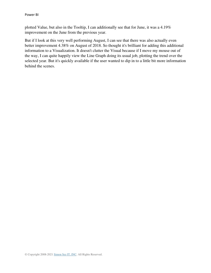plotted Value, but also in the Tooltip, I can additionally see that for June, it was a 4.19% improvement on the June from the previous year.

But if I look at this very well performing August, I can see that there was also actually even better improvement 4.38% on August of 2018. So thought it's brilliant for adding this additional information to a Visualization. It doesn't clutter the Visual because if I move my mouse out of the way, I can quite happily view the Line Graph doing its usual job, plotting the trend over the selected year. But it's quickly available if the user wanted to dip in to a little bit more information behind the scenes.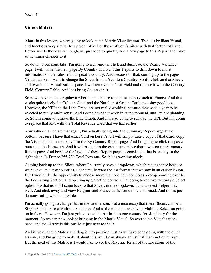### **Video: Matrix**

**Alan:** In this lesson, we are going to look at the Matrix Visualization. This is a brilliant Visual, and functions very similar to a pivot Table. For those of you familiar with that feature of Excel. Before we do the Matrix though, we just need to quickly add a new page to this Report and make some minor changes to it.

So down to our page tabs, I'm going to right-mouse click and duplicate the Yearly Variance page. I will name this new page By Country as I want this Reports to drill down to more information on the sales from a specific country. And because of that, coming up to the pages Visualizations, I want to change the Slicer from a Year to a Country. So if I click on that Slicer, and over in the Visualizations pane, I will remove the Year Field and replace it with the Country Field, Country Table. And let's bring Country in it.

So now I have a nice dropdown where I can choose a specific country such as France. And this works quite nicely the Column Chart and the Number of Orders Card are doing good jobs. However, the KPI and the Line Graph are not really working, because they need a year to be selected to really make sense. And I don't have that work in at the moment, and I'm not planning to. So I'm going to remove the Line Graph. And I'm also going to remove the KPI. But I'm going to replace that KPI with the Total Revenue Card that we had earlier.

Now rather than create that again, I'm actually going into the Summary Report page at the bottom, because I have that exact Card on here. And I will simply take a copy of that Card, copy the Visual and come back over to the By Country Report page. And I'm going to click the paste button on the Home tab. And it will paste it in the exact same place that it was on the Summary Report page. And because the layout of these Report pages is consistent, that is exactly in the right place. In France 355,729 Total Revenue. So this is working nicely.

Coming back up to that Slicer, where I currently have a dropdown, which makes sense because we have quite a few countries, I don't really want the list format that we saw in an earlier lesson. But I would like the opportunity to choose more than one country. So as a recap, coming over to the Formatting Section, and opening up Selection controls, I'm going to remove the Single Select option. So that now if I came back to that Slicer, in the dropdown, I could select Belgium as well. And click away and view Belgium and France at the same time combined. And this is just demonstrating what is possible.

I'm actually going to change that in the later lesson. But a nice recap that these Slicers can be a Single Selection or a Multiple Selection. And at the moment, we have a Multiple Selection going on in there. However, I'm just going to switch that back to one country for simplicity for the moment. So we can now look at bringing in the Matrix Visual. So over to the Visualizations pane, and the Matrix is this one here just next to the R.

And if we click the Matrix and drag it into position, just as we have been doing with the other lessons, and I'm going to make it about this size. I can always adjust it if that's not quite right. But the goal of this Matrix is I would like to see the Revenue for all of the Locations of the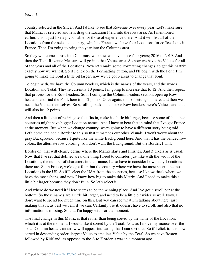country selected in the Slicer. And I'd like to see that Revenue over every year. Let's make sure that Matrix is selected and let's drag the Location Field into the rows area. As I mentioned earlier, this is just like a pivot Table for those of experience there. And it will list all of the Locations from the selected country, which is France, we have four Locations for coffee shops in France. Then I'm going to bring the year into the Columns area.

So they will come across into Columns, we know we have those four years; 2016 to 2019. And then the Total Revenue Measure will go into that Values area. So now we have the Values for all of the years and all of the Locations. Now let's make some Formatting changes, to get this Matrix exactly how we want it. So if I click on the Formatting button, and I'll begin with the Font. I'm going to make the Font a little bit larger, now we've got 3 areas to change that Font.

To begin with, we have the Column headers, which is the names of the years, and the words Location and Total. They're currently 10 points. I'm going to increase that to 12. And then repeat that process for the Row headers. So if I collapse the Column headers section, open up Row headers, and find the Font, here it is 12 points. Once again, tons of settings in here, and then we need the Values themselves. So scrolling back up, collapse Row headers, here's Values, and that will also be 12 points.

And then a little bit of resizing so that fits in, make it a little bit larger, because some of the other countries might have bigger Location names. And I have to bear that in mind that I've got France at the moment. But when we change country, we're going to have a different story being told. Let's come and add a Border to this so that it matches our other Visuals. I won't worry about the gray Background, because I quite like the white Background here. And that it has the banded row colors, the alternate row coloring, so I don't want the Background. But the Border, I will.

Border on, that will clearly define where the Matrix starts and finishes. And 3 pixels as is usual. Now that I've set that defined area, one thing I need to consider, just like with the width of the Locations, the number of characters in their name, I also have to consider how many Locations there are. So in France, we've got four, but the country where we have the most shops, the most Locations is the US. So if I select the USA from the countries, because I know that's where we have the most shops, and now I know how big to make this Matrix. And I need to make this a little bit larger because they don't fit in. So let's select it.

And where do we need it? Here seems to be the winning place. And I've got a scroll bar at the bottom. So those names are a little bit larger, and need to be a little bit wider as well. Now, I don't want to spend too much time on this. But you can see what I'm talking about here, just making this fit as best we can, if we can. Certainly use it, doesn't have to scroll, and also that no information is missing. So that I'm happy with for the moment.

The final change in this Matrix is that rather than being sorted by the name of the Location, which it is at the moment, I would like it sorted by the Total. Now as I move my mouse over the Total Column header, an arrow will appear indicating that I can sort that. So if I click it, it is now sorted in descending order; largest Value to smallest Value by the Total. So we have Boston followed by Kirkland, as opposed to the A to Z order it was in a moment ago.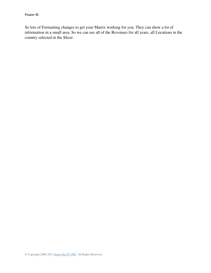So lots of Formatting changes to get your Matrix working for you. They can show a lot of information in a small area. So we can see all of the Revenues for all years, all Locations in the country selected in the Slicer.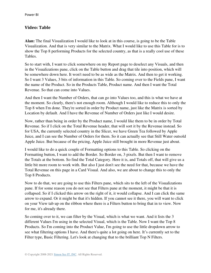### **Video: Table**

**Alan:** The final Visualization I would like to look at in this course, is going to be the Table Visualization. And that is very similar to the Matrix. What I would like to use this Table for is to show the Top 8 performing Products for the selected country, as that is a really cool use of these Tables.

So to start with, I want to click somewhere on my Report page to deselect any Visuals, and then in the Visualizations pane, click on the Table button and drag that tile into position, which will be somewhere down here. It won't need to be as wide as the Matrix. And then to get it working. So I want 3 Values, 3 bits of information in this Table. So coming over to the Fields pane, I want the name of the Product. So in the Products Table, Product name. And then I want the Total Revenue. So that can come into Values.

And then I want the Number of Orders, that can go into Values too, and this is what we have at the moment. So clearly, there's not enough room. Although I would like to reduce this to only the Top 8 when I'm done. They're sorted in order by Product name, just like the Matrix is sorted by Location by default. And I have the Revenue of Number of Orders just like I would desire.

Now, rather than being in order by the Product name, I would like them to be in order by Total Revenue. So if I click on the Total Revenue header, that will sort it by the Revenue instead. So for USA, the currently selected country in the Slicer, we have Green Tea followed by Apple Juice, and I can see the Number of Orders for them. So it can actually see that Still Water outsold Apple Juice. But because of the pricing, Apple Juice still brought in more Revenue just about.

I would like to do a quick couple of Formatting options to this Table. So clicking on the Formatting button, I want to add the Border. So Border on, 3 pixels. But then I want to remove the Totals at the bottom. So find the Total Category. Here it is, and Totals off, that will give us a little bit more room to work with. But also I just don't see the need for that, because we have the Total Revenue on this page in a Card Visual. And also, we are about to change this to only the Top 8 Products.

Now to do that, we are going to use this Filters pane, which sits to the left of the Visualizations pane. If for some reason you do not see that Filters pane at the moment, it might be that it is collapsed. So if I clicked this arrow on the right of it, it would collapse. And I can click the same arrow to expand. Or it might be that it's hidden. If you cannot see it there, you will want to click on your View tab up on the ribbon where there is a Filters button to bring that in to view. Now for me, it's already there.

So coming over to it, we can filter by the Visual, which is what we want. And it lists the 3 different Values I'm using in the selected Visual, which is the Table. Now I want the Top 8 Products. So I'm coming into the Product Value, I'm going to use the little dropdown arrow to see what filtering options I have. And there's quite a lot going on here. It's currently set to the Filter type, Basic Filtering. Let's look at changing that to the brilliant Top N Filters.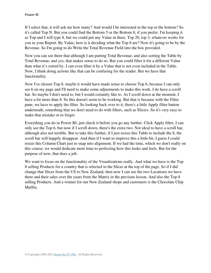If I select that, it will ask me how many? And would I be interested in the top or the bottom? So it's called Top N. But you could find the Bottom 5 or the Bottom 8, if you prefer. I'm keeping it as Top and I will type 8, but we could put any Value in there, Top 20, top 3, whatever works for you in your Report. By Value, how is it deciding what the Top 8 are? Now it's going to be by the Revenue. So I'm going to do Write the Total Revenue Field into the box provided.

Now you can see there that although I am putting Total Revenue, and also sorting the Table by Total Revenue, and yes, that makes sense to do so. But you could filter it for a different Value than what it's sorted by. I can even filter it by a Value that is not even included in the Table. Now, I think doing actions like that can be confusing for the reader. But we have that functionality.

Now I've chosen Top 8, maybe it would have made sense to choose Top 6, because I can only see 6 on my page and I'll need to make some adjustments to make this work. I do have a scroll bar. So maybe I don't need to, but I would certainly like to. As I scroll down at the moment, I have a lot more than 8. So this doesn't seem to be working. But that is because with the Filter pane, we have to apply the filter. So looking back over to it, there's a little Apply filter button underneath, something that we don't need to do with filters, such as Slicers. So it's very easy to make that mistake or to forget.

Everything you do in Power BI, just check it before you go any further. Click Apply filter, I can only see the Top 6, but now if I scroll down, there's the extra two. Not ideal to have a scroll bar, although also not terrible. But to take this further, if I just resize this Table to include the 8, the scroll bar will happily disappear. And then if I want to improve this a little bit, I guess I could resize this Column Chart just to snap into alignment. If we had the time, which we don't really on this course, we would dedicate more time to perfecting how this looks and feels. But for the purpose of now, that does a job.

We want to focus on the functionality of the Visualizations really. And what we have is the Top 8 selling Products for a country that is selected in the Slicer at the top of the page. So if I did change that Slicer from the US to New Zealand, then now I can see the two Locations we have there and their sales over the years from the Matrix in the previous lesson. And also the Top 8 selling Products. And a winner for our New Zealand shops and customers is the Chocolate Chip Muffin.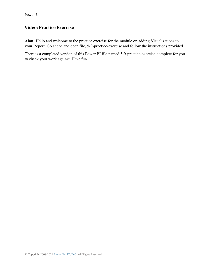# **Video: Practice Exercise**

**Alan:** Hello and welcome to the practice exercise for the module on adding Visualizations to your Report. Go ahead and open file, 5-9-practice-exercise and follow the instructions provided.

There is a completed version of this Power BI file named 5-9-practice-exercise-complete for you to check your work against. Have fun.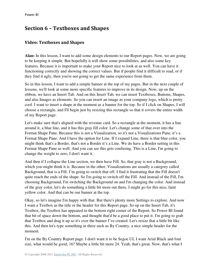# **Section 6 – Textboxes and Shapes**

## **Video: Textboxes and Shapes**

**Alan:** In this lesson, I want to add some design elements to our Report pages. Now, we are going to be keeping it simple. But hopefully it will show some possibilities, and also some key features. Because it is important to make your Report nice to look at as well. You can have it functioning correctly and showing the correct values. But if people find it difficult to read, or if they find it ugly, then you're not going to get the same experience from them.

So in this lesson, I want to add a simple banner at the top of my pages. But in the next couple of lessons, we'll look at some more specific features to improve in its design. Now, up on the ribbon, we have an Insert Tab. And on this Insert Tab, we can insert Textboxes, Buttons, Shapes, and also Images as elements. So you can insert an image as your company logo, which is pretty cool. I want to insert a shape at the moment as a banner for the top. So if I click on Shapes, I will choose a rectangle, and I'll begin just by resizing this rectangle so that it covers the entire width of my Report page.

Let's make sure that's aligned with the revenue card. So a rectangle at the moment, it has a line around it, a blue line, and it has this gray fill color. Let's change some of that over into the Format Shape Pane. Because this is not a Visualization, so it's not a Visualizations Pane, it's a Format Shape Pane. And I have the option for Line. If I expand Line, there is that blue color, you might think that's a Border, that's not a Border it's a Line. We do have a Border setting in this Format Shape Pane as well. And you can see this gets confusing. This is a Line, I'm going to change the weight to zero, I don't want it.

And then if I collapse the Line section, we then have Fill. So, that gray is not a Background, which you might think it is. Because in the other, Visualizations are usually a category called Background, that is a Fill. I'm going to switch that off. I find it frustrating that the Fill doesn't quite reach the ends of the shape. So I'm going to switch off the Fill. And instead of the Fill, I'm choosing Background, I'm switching the Background on and I'm changing the color. And instead of the gray color, let's do something a little bit more out there, I might go for this nice, faint yellow color. And that can be our banner at the top.

Okay, so let's imagine I'm happy with that. But there's plenty more Settings to explore. And now I want a Textbox as the title or the header for this Report page. So up on the Insert Tab, it's Textbox, the Textbox has appeared in the bottom right corner of the Report. So Power BI found that bit of space down the bottom, and thought that'd be a good place to put it. I'm going to grab that Textbox and drag it up so it's over the banner I've created. Let's resize that a little bit like this. And then let's type something in there such as By Country, a nice simple header for the moment.

I'm on the By Country Report page. I don't want it to be Segoe UI, I want Arial Black and font size, what would be good, 16? Maybe a little bit more 24. Yeah, that's great. Now, that's what I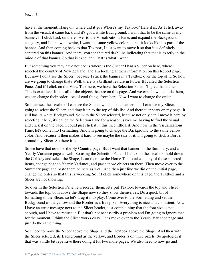have at the moment. Hang on, where did it go? Where's my Textbox? Here it is. As I click away from the visual, it came back and it's got a white Background. I want that to be the same as my banner. If I click back on there, over to the Visualizations Pane, and expand the Background category, and I don't want white, I want the same yellow color so that it looks like it's part of the banner. And then coming back to that Textbox, I just want to move it so that it is definitely centered on this banner. And there, you see that red dash line indicating that that is exactly in the middle of that banner. So that is excellent. That is what I want.

But something you may have noticed is where is the Slicer? I had a Slicer on here, where I selected the country of New Zealand, and I'm looking at their information on this Report page. But now I don't see the Slicer , because I stuck the banner in a Textbox over the top of it. So how are we going to change that? Well, there is a brilliant feature in Power BI called the Selection Pane. And if I click on the View Tab, here, we have the Selection Pane. I'll give that a click. This is excellent. It lists all of the objects that are on this page. And we can show and hide them, we can change their order, lots of cool things from here. Now I want to change the order.

So I can see the Textbox, I can see the Shape, which is the banner, and I can see my Slicer. I'm going to select the Slicer, and drag it up to the top of this list. And there it appears on my page. It still has its white Background. So with the Slicer selected, because not only can I move it here by selecting it here, it's called the Selection Pane for a reason, saves me having to find the visual and click it on the page. I could just click it in this nice little list. And now in the Visualizations Pane, let's come into Formatting. And I'm going to change the Background to the same yellow color. And because it then makes it hard to see maybe the size of it, I'm going to stick a Border around my Slicer. So there it is.

So we have that now for the By Country page. But I want that banner on the Summary, and a Yearly Variance page as well. So using the Selection Pane, if I click on the Textbox, hold down the Ctrl key and select the Shape, I can then use the Home Tab to take a copy of those selected items, change page to Yearly Variance, and paste those objects on there. Then move over to the Summary page and paste them on here as well. And then just like we did on the initial page, change the order so that this is working. So if I click somewhere on this page, the Textbox and a Slicer are not showing.

So over in the Selection Pane, let's reorder them, let's put Textbox towards the top and Slicer towards the top, both above the Shape now so they show themselves. Do a quick bit of formatting to the Slicer, so let's drag it into play. Come over to the Formatting and set the Background as the yellow and the Border as a free pixel. Everything is nice and consistent. Now I have an error message next to the Slicer header, just complaining that the font size is not enough, and I have to reduce it. But that's not necessarily a problem and I'm going to ignore that for the moment. I think the Slicer works okay. Let's move over to the Yearly Variance page and just do the same thing.

So I need to move the Slicer above the Shape and the Textbox above the Shape. And then with the Slicer selected, its Background as the yellow, and Border is on three pixels. So apologies if that was a little bit repetitive there doing it for two more pages. We also need to now go and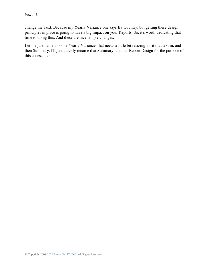change the Text. Because my Yearly Variance one says By Country, but getting these design principles in place is going to have a big impact on your Reports. So, it's worth dedicating that time to doing this. And these are nice simple changes.

Let me just name this one Yearly Variance, that needs a little bit resizing to fit that text in, and then Summary. I'll just quickly rename that Summary, and our Report Design for the purpose of this course is done.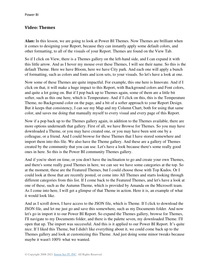### **Video: Themes**

**Alan:** In this lesson, we are going to look at Power BI Themes. Now Themes are brilliant when it comes to designing your Report, because they can instantly apply some default colors, and other formatting, to all of the visuals of your Report. Themes are found on the View Tab.

So if I click on View, there is a Themes gallery on the left-hand side, and I can expand it with this little arrow. And as I hover my mouse over these Themes, I will see their name. So this is the default Theme. Here we have Bloom, here we have City park. And each one will apply a bunch of formatting, such as colors and fonts and icon sets, to your visuals. So let's have a look at one.

Now some of these Themes are quite impactful. For example, this one here is Innovate. And if I click on that, it will make a huge impact to this Report, with Background colors and Font colors, and quite a lot going on. But if I pop back up to Themes again, some of them are a little bit softer, such as this one here, which is Temperature. And if I click on this, this is the Temperature Theme, no Background color on the page, and a bit of a softer approach to your Report Design. But it keeps that consistency, I can see my Map and my Column Chart, both for using that same color, and saves me doing that manually myself to every visual and every page of this Report.

Now if a pop back up to the Themes gallery again, in addition to the Themes available, there are more options underneath that gallery. First of all, we have Browse for Themes. So you may have downloaded a Theme, or you may have created one, or you may have been sent one by a colleague, or a friend. And I could browse for these Themes that I have stored somewhere and import them into this file. We also have the Theme gallery. And these are a gallery of Themes created by the community that you can use. Let's have a look because there's some really good ones in here. So this is the Power BI community Themes gallery.

And if you're short on time, or you don't have the inclination to go and create your own Themes, and there's some really good Themes in here, we can see we have some categories at the top. So at the moment, these are the Featured Themes, but I could choose those with Top Kudos. Or I could look at those that are recently posted, or come into All Themes and starts looking through different categories from this list. If I come back to the Featured Themes, and let's have a look at one of these, such as the Autumn Theme, which is provided by Amanda on the Microsoft team. As I come into here, I will get a glimpse of that Theme in action. Here it is, an example of what it would look like.

And as I scroll down, I have access to the JSON file, which is Theme. If I click to download the JSON file, and let me just go and save this somewhere, such as my Documents folder. And now let's go in import it to our Power BI Report. So expand the Themes gallery, browse for Themes, I'll navigate to my Documents folder, and there is the palette seven, my downloaded Theme. I'll open that up. The import was successful. And this is it applied to our Power BI Report. It's quite nice. If I liked this Theme, but I didn't like everything about it, we could come back up to the Themes gallery and look at customizing this Theme. And just doing some minor tweaks because maybe it wasn't 100% what we wanted.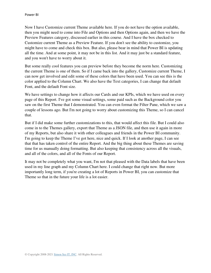Now I have Customize current Theme available here. If you do not have the option available, then you might need to come into File and Options and then Options again, and then we have the Preview Features category, discussed earlier in this course. And I have the box checked to Customize current Theme as a Preview Feature. If you don't see the ability to customize, you might have to come and check this box. But also, please bear in mind that Power BI is updating all the time. And at some point, it may not be in this list. And it may just be a standard feature, and you won't have to worry about it.

But some really cool features you can preview before they become the norm here. Customizing the current Theme is one of them. So if I came back into the gallery, Customize current Theme, I can now get involved and edit some of these colors that have been used. You can see this is the color applied to the Column Chart. We also have the Text categories, I can change that default Font, and the default Font size.

We have settings to change how it affects our Cards and our KPIs, which we have used on every page of this Report. I've got some visual settings, some paid such as the Background color you saw on the first Theme that I demonstrated. You can even format the Filter Pane, which we saw a couple of lessons ago. But I'm not going to worry about customizing this Theme, so I can cancel that.

But if I did make some further customizations to this, that would affect this file. But I could also come in to the Themes gallery, export that Theme as a JSON file, and then use it again in more of my Reports, but also share it with other colleagues and friends in the Power BI community. I'm going to keep the Theme I've got here, nice and quick. If I look at another page, I can see that that has taken control of the entire Report. And the big thing about these Themes are saving time for us manually doing formatting. But also keeping that consistency across all the visuals, and all of the colors, and all of the Fonts of our Report.

It may not be completely what you want, I'm not that pleased with the Data labels that have been used in my line graph and my Column Chart here. I could change that right now. But more importantly long term, if you're creating a lot of Reports in Power BI, you can customize that Theme so that in the future your life is a lot easier.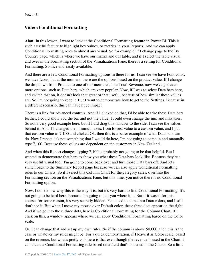### **Video: Conditional Formatting**

**Alan:** In this lesson, I want to look at the Conditional Formatting feature in Power BI. This is such a useful feature to highlight key values, or metrics in your Reports. And we can apply Conditional Formatting roles to almost any visual. So for example, if I change page to the By Country page, which is where we have our matrix and our table, and if I select the table visual, and over in the Formatting section of the Visualizations Pane, there is a setting for Conditional Formatting. So nice and easily available.

And there are a few Conditional Formatting options in there for us. I can see we have Font color, we have Icons, but at the moment, these are the options based on the product value. If I change the dropdown from Product to one of our measures, like Total Revenue, now we've got even more options, such as Data bars, which are very popular. Now, if I was to select Data bars here, and switch that on, it doesn't look that great or that useful, because of how similar these values are. So I'm not going to keep it. But I want to demonstrate how to get to the Settings. Because in a different scenario, this can have huge impact.

There is a link for advanced controls. And if I clicked on that, I'd be able to take these Data bars further, I could show you the bar and not the value, I could even change the min and max axes. So not a very good example here, but if I did drag this window to the side, I can see the values behind it. And if I changed the minimum axes, from lowest value to a custom value, and I put that custom value as 7,100 and clicked Ok, then this is a better example of what Data bars can do. Now I repeat, it's not something that I would do here, I'm not going to come in and manually type 7,100. Because these values are dependent on the customers in New Zealand.

And when this Report changes, typing 7,100 is probably not going to be that helpful. But I wanted to demonstrate that here to show you what these Data bars look like. Because they're a very useful visual tool. I'm going to come back over and turn those Data bars off. And let's switch back to the Summary Report page because we can also apply Conditional Formatting rules to our Charts. So if I select this Column Chart for the category sales, over into the Formatting section on the Visualizations Pane, but this time, you notice there is no Conditional Formatting option.

Now, I don't know why this is the way it is, but it's very hard to find Conditional Formatting. It's not going to be hard here, because I'm going to tell you where it is. But if it wasn't for this course, for some reason, it's very secretly hidden. You need to come into Data colors, and I still don't see it. But when I move my mouse over Default color, these three dots appear on the right. And if we go into those three dots, here is Conditional Formatting for the Column Chart. If I click on this, a window appears where we can apply Conditional Formatting based on the Color scale.

Or, I can change that and set up my own rules. So if the column is above 50,000, then this is the case or whatever my rules might be. For a quick demonstration, if I leave it as Color scale, based on the revenue, but what's pretty cool here is that even though the revenue is used in the Chart, I can create a Conditional Formatting rule based on a field that's not used in the Charts. So a little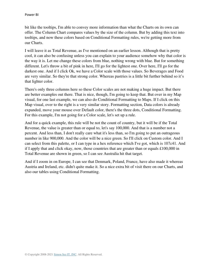bit like the tooltips, I'm able to convey more information than what the Charts on its own can offer. The Column Chart compares values by the size of the column. But by adding this text into tooltips, and now these colors based on Conditional Formatting rules, we're getting more from our Charts.

I will leave it as Total Revenue, as I've mentioned on an earlier lesson. Although that is pretty cool, it can also be confusing unless you can explain to your audience somehow why that color is the way it is. Let me change these colors from blue, nothing wrong with blue. But for something different. Let's throw a bit of pink in here, I'll go for the lightest one. Over here, I'll go for the darkest one. And if I click Ok, we have a Color scale with those values. So Beverages and Food are very similar. So they're that strong color. Whereas pastries is a little bit further behind so it's that lighter color.

There's only three columns here so these Color scales are not making a huge impact. But there are better examples out there. That is nice, though, I'm going to keep that. But over in my Map visual, for one last example, we can also do Conditional Formatting to Maps. If I click on this Map visual, over to the right is a very similar story. Formatting section, Data colors is already expanded, move your mouse over Default color, there's the three dots, Conditional Formatting. For this example, I'm not going for a Color scale, let's set up a rule.

And for a quick example, this rule will be not the count of country, but it will be if the Total Revenue, the value is greater than or equal to, let's say 100,000. And that is a number not a percent. And less than, I don't really care what it's less than, so I'm going to put an outrageous number in like 900,000. And the color will be a nice green. So I'll click on Custom color. And I can select from this palette, or I can type in a hex reference which I've got, which is 107c41. And if I apply that and click okay, now, those countries that are greater than or equals £100,000 in Total Revenue are shown in green, so I can see Australia hit that target.

And if I zoom in on Europe, I can see that Denmark, Poland, France, have also made it whereas Austria and Ireland, etc. didn't quite make it. So a nice extra bit of visit there on our Charts, and also our tables using Conditional Formatting.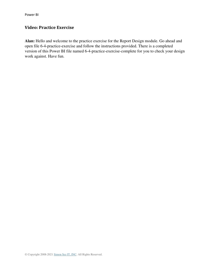# **Video: Practice Exercise**

**Alan:** Hello and welcome to the practice exercise for the Report Design module. Go ahead and open file 6-4-practice-exercise and follow the instructions provided. There is a completed version of this Power BI file named 6-4-practice-exercise-complete for you to check your design work against. Have fun.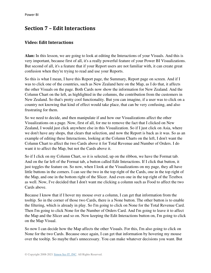# **Section 7 – Edit Interactions**

#### **Video: Edit Interactions**

**Alan:** In this lesson, we are going to look at editing the Interactions of your Visuals. And this is very important, because first of all, it's a really powerful feature of your Power BI Visualizations. But second of all, it's a feature that if your Report users are not familiar with, it can create great confusion when they're trying to read and use your Reports.

So this is what I mean, I have this Report page, the Summary, Report page on screen. And if I was to click one of the countries, such as New Zealand here on the Map, as I do that, it affects the other Visuals on the page. Both Cards now show the information for New Zealand. And the Column Chart on the left, as highlighted in the columns, the contribution from the customers in New Zealand. So that's pretty cool functionality. But you can imagine, if a user was to click on a country not knowing that kind of effect would take place, that can be very confusing, and also frustrating for them.

So we need to decide, and then manipulate if and how our Visualizations affect the other Visualizations on a page. Now, first of all, for me to remove the fact that I clicked on New Zealand, I would just click anywhere else in this Visualization. So if I just click on Asia, where we don't have any shops, that clears that selection, and now the Report is back as it was. So as an example of editing these Interactions, looking at the Column Charts on the left, I don't want the Column Chart to affect the two Cards above it for Total Revenue and Number of Orders. I do want it to affect the Map, but not the Cards above it.

So if I click on my Column Chart, so it is selected, up on the ribbon, we have the Format tab. And on the far left of the Format tab, a button called Edit Interactions. If I click that button, it just toggles the feature on. So now, when I look at the Visualizations on my page, they all have little buttons in the corners. I can see the two in the top right of the Cards, one in the top right of the Map, and one in the bottom right of the Slicer. And even one in the top right of the Textbox as well. Now, I've decided that I don't want me clicking a column such as Food to affect the two Cards above.

Because I know that if I hover my mouse over a column, I can get that information from the tooltip. So in the corner of those two Cards, there is a None button. The other button is to enable the filtering, which is already in play. So I'm going to click on None for the Total Revenue Card. Then I'm going to click None for the Number of Orders Card. And I'm going to leave it to affect the Map and the Slicer and so on. Now keeping the Edit Interactions button on, I'm going to click on the Map Visual.

So now I can decide how the Map affects the other Visuals. For this, I'm also going to click on None for the two Cards. Because once again, I can get that information by hovering my mouse over the tooltip. So maybe that's unnecessary. You can make whatever decisions you want. But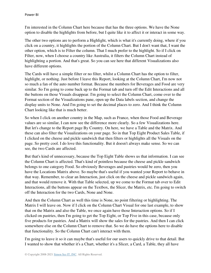I'm interested in the Column Chart here because that has the three options. We have the None option to disable the highlights from before, but I quite like it to affect it or interact in some way.

The other two options are to perform a Highlight, which is what it's currently doing, where if you click on a country, it highlights the portion of the Column Chart. But I don't want that, I want the other option, which is to Filter the column. That I much prefer to the highlight. So if I click on Filter, now, when I choose a country like Australia, it filters the Column Chart instead of highlighting a portion. And that's great. So you can see here that different Visualizations also have different options.

The Cards will have a simple filter or no filter, whilst a Column Chart has the option to filter, highlight, or nothing. Just before I leave this Report, looking at the Column Chart, I'm now not so much a fan of the auto number format. Because the numbers for Beverages and Food are very similar. So I'm going to come back up to the Format tab and turn off the Edit Interactions and all the buttons on those Visuals disappear. I'm going to select the Column Chart, come over to the Format section of the Visualizations pane, open up the Data labels section, and change the display units to None. And I'm going to set the decimal places to zero. And I think the Column Chart looking like that is much better.

So when I click on another country in the Map, such as France, when those Food and Beverage values are so similar, I can now see the difference more clearly. So a few Visualizations here. But let's change to the Report page By Country. On here, we have a Table and the Matrix. And these can also filter the Visualizations on your page. So in that Top Eight Product Sales Table, if I clicked on the cheese and pickle sandwich that then filters or highlights all the Visuals on the page. So pretty cool. I do love this functionality. But it doesn't always make sense. So we can see, the two Cards are affected.

But that's kind of unnecessary, because the Top Eight Table shows us that information. I can see the Column Chart is affected. That's kind of pointless because the cheese and pickle sandwich belongs to one category Food. So obviously Beverages and pastries would be zero, then you have the Locations Matrix above. So maybe that's useful if you wanted your Report to behave in that way. Remember, to clear an Interaction, just click on the cheese and pickle sandwich again, and that would remove it. With that Table selected, up we come to the Format tab over to Edit Interactions, all the buttons appear on the Textbox, the Slicer, the Matrix, etc. I'm going to switch off the Interaction for the two Cards, None and None.

And then the Column Chart as well this time is None, no point filtering or highlighting. The Matrix I will leave on. Now if I click on the Column Chart Visual for one last example, to show that on the Matrix and also the Table, we once again have those Interaction options. So if I clicked on pastries, then I'm going to get the Top Eight, or Top Five in this case, because only five products for pastries. And a Matrix will show the sales for the pastries. And then I can click somewhere else on the Column Chart to remove that. So we do have the options here to disable that functionality. So the Column Chart can't interact with them.

I'm going to leave it so it can maybe that's useful for our users to quickly drive to that detail. But I wanted to show that whether it's a Chart, whether it's a Slicer, a Card, a Table, they all have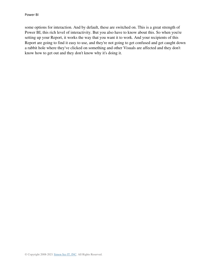some options for interaction. And by default, these are switched on. This is a great strength of Power BI, this rich level of interactivity. But you also have to know about this. So when you're setting up your Report, it works the way that you want it to work. And your recipients of this Report are going to find it easy to use, and they're not going to get confused and get caught down a rabbit hole where they've clicked on something and other Visuals are affected and they don't know how to get out and they don't know why it's doing it.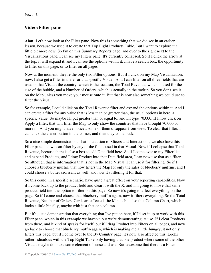#### **Video: Filter pane**

**Alan:** Let's now look at the Filter pane. Now this is something that we did see in an earlier lesson, because we used it to create that Top Eight Products Table. But I want to explore it a little bit more now. So I'm on this Summary Reports page, and over to the right next to the Visualizations pane, I can see my Filters pane. It's currently collapsed. So if I click the arrow at the top, it will expand it, and I can see the options within it. I have a search box, the opportunity to filter on this page, or to filter on all pages.

Now at the moment, they're the only two Filter options. But if I click on my Map Visualization, now, I also get a filter in there for that specific Visual. And I can filter on all three fields that are used in that Visual; the country, which is the location, the Total Revenue, which is used for the size of the bubble, and a Number of Orders, which is actually in the tooltip. So you don't see it on the Map unless you move your mouse onto it. But that is now also something we could use to filter the Visual.

So for example, I could click on the Total Revenue filter and expand the options within it. And I can create a filter for any value that is less than or greater than, the usual options in here, a specific value. So maybe I'll put greater than or equal to, and I'll type 70,000. If I now click on Apply a filter, that will filter the Map to only show the countries that have brought 70,000 or more in. And you might have noticed some of them disappear from view. To clear that filter, I can click the eraser button in the corner, and then they come back.

So a nice simple demonstration. That in addition to Slicers and Interactions, we also have this Filter pane and we can filter by any of the fields used in that Visual. Now if I collapse that Total Revenue, because there is also a box to add Data field here. So if I come over to my Filter list and expand Products, and I drag Product into that Data field area, I can now use that as a filter. So although that is information that is not in the Map Visual, I can use it for filtering. So if I choose a blueberry muffin, that now filters the Map for only the sales of blueberry muffins, and I could choose a butter croissant as well, and now it's filtering it for that.

So this could, in a specific scenario, have quite a great effect on your reporting capabilities. Now if I come back up to the product field and clear it with the  $X$ , and I'm going to move that same product field into the option to filter on this page. So now it's going to affect everything on the page. So if I come and choose that blueberry muffin again, now it filters everything. So the Total Revenue, Number of Orders, Cards are affected, the Map is but also that Column Chart, which looks a little bit silly, maybe with just that one column.

But it's just a demonstration that everything that I've put on here, if I'd set it up to work with this Filter pane, which in this example we haven't, but we're demonstrating its use. If I clear Products from there, and it kind of speaks for itself, but if I drag Product into Filters on all pages, and now go back to choose that blueberry muffin again, which is making me a little hungry, it not only filters this page, but if I come over to the By Country page, it's now also affected this. Looks rather ridiculous with the Top Eight Table only having that one product where some of the other Visuals maybe do make some element of sense and use. But, awesome that there is a Filter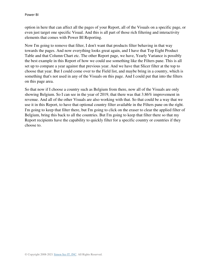option in here that can affect all the pages of your Report, all of the Visuals on a specific page, or even just target one specific Visual. And this is all part of those rich filtering and interactivity elements that comes with Power BI Reporting.

Now I'm going to remove that filter, I don't want that products filter behaving in that way towards the pages. And now everything looks great again, and I have that Top Eight Product Table and that Column Chart etc. The other Report page, we have, Yearly Variance is possibly the best example in this Report of how we could use something like the Filters pane. This is all set up to compare a year against that previous year. And we have that Slicer filter at the top to choose that year. But I could come over to the Field list, and maybe bring in a country, which is something that's not used in any of the Visuals on this page. And I could put that into the filters on this page area.

So that now if I choose a country such as Belgium from there, now all of the Visuals are only showing Belgium. So I can see in the year of 2019, that there was that 3.86% improvement in revenue. And all of the other Visuals are also working with that. So that could be a way that we use it in this Report, to have that optional country filter available in the Filters pane on the right. I'm going to keep that filter there, but I'm going to click on the eraser to clear the applied filter of Belgium, bring this back to all the countries. But I'm going to keep that filter there so that my Report recipients have the capability to quickly filter for a specific country or countries if they choose to.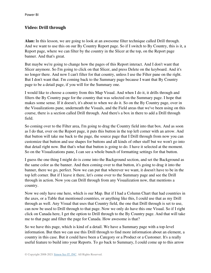## **Video: Drill through**

**Alan:** In this lesson, we are going to look at an awesome filter technique called Drill through. And we want to use this on our By Country Report page. So if I switch to By Country, this is it, a Report page, where we can filter by the country in the Slicer at the top, on the Report page banner. And that's great.

But maybe we're going to change how the pages of this Report interact. And I don't want that Slicer anymore. So I'm going to click on that Slicer, and press Delete on the keyboard. And it's no longer there. And now I can't filter for that country, unless I use the Filter pane on the right. But I don't want that. I'm coming back to the Summary page because I want that By Country page to be a detail page, if you will for the Summary one.

I would like to choose a country from this Map Visual. And when I do it, it drills through and filters the By Country page for the country that was selected on the Summary page. I hope that makes some sense. If it doesn't, it's about to when we do it. So on the By Country page, over in the Visualizations pane, underneath the Visuals, and the Field areas that we've been using on this course, there is a section called Drill through. And there's a box in there to add a Drill through field.

So coming over to the Filter area, I'm going to drag the Country field into that box. And as soon as I do that, over on the Report page, it puts this button in the top left corner with an arrow. And that button will take me back to the page, the source page that I Drill through from now you can customize that button and use shapes for buttons and all kinds of other stuff but we won't go into that detail right now. But that's what that button is going to do. I have it selected at the moment. So on the Visualizations pane, I can see a whole bunch of formatting settings for that button.

I guess the one thing I might do is come into the Background section, and set the Background as the same color as the banner. And then coming over to that button, it's going to drag it into the banner, there we go, perfect. Now we can put that wherever we want, it doesn't have to be in the top left corner. But if I leave it there, let's come over to the Summary page and see the Drill through in action. Now you can Drill through from any Visualization now, that mentions a country.

Now we only have one here, which is our Map. But if I had a Column Chart that had countries in the axes, or a Table that mentioned countries, or anything like this, I could use that as my Drill through as well. Any Visual that uses that Country field, the one that Drill through is set to use, can now be used to Drill through to that page. Now we only do have this one Visual. So if I right click on Canada here, I get the option to Drill through to the By Country page. And that will take me to that page and filter the page for Canada. How awesome is that?

So we have this page, which is kind of a detail. We have a Summary page with a top-level information. But then we can use this Drill through to find more information about an element, a country in this case. But it could have been a Category or a Product or a Customer. It's a really useful feature to build into your Reports. To go back to Summary, I could come up to this arrow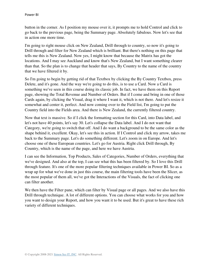button in the corner. As I position my mouse over it, it prompts me to hold Control and click to go back to the previous page, being the Summary page. Absolutely fabulous. Now let's see that in action one more time.

I'm going to right mouse click on New Zealand, Drill through to country, so now it's going to Drill through and filter for New Zealand which is brilliant. But there's nothing on this page that tells me this is New Zealand. Now yes, I might know that because the Matrix has got the locations. And I may see Auckland and know that's New Zealand, but I want something clearer than that. So the plan is to change that header that says, By Country to the name of the country that we have filtered it by.

So I'm going to begin by getting rid of that Textbox by clicking the By Country Textbox, press Delete, and it's gone. And the way we're going to do this, is to use a Card. Now a Card is something we've seen in this course doing its classic job. In fact, we have them on this Report page, showing the Total Revenue and Number of Orders. But if I come and bring in one of those Cards again, by clicking the Visual, drag it where I want it, which is not there. And let's resize it somewhat and center it, perfect. And now coming over to the Field list, I'm going to put the Country field into the Fields area. And there is New Zealand, the currently filtered country.

Now that text is massive. So if I click the formatting section for this Card, into Data label, and let's not have 40 points, let's say 30. Let's collapse the Data label. And I do not want that Category, we're going to switch that off. And I do want a background to be the same color as the shape behind it, excellent. Okay, let's see this in action. If I Control and click my arrow, takes me back to the Summary page. Let's do something different. Let's zoom in on Europe. And let's choose one of these European countries. Let's go for Austria. Right click Drill through, By Country, which is the name of the page, and here we have Austria.

I can see the Information, Top Products, Sales of Categories, Number of Orders, everything that we've designed. And also at the top, I can see what this has been filtered by. So I love this Drill through feature. It's one of the more popular filtering techniques available in Power BI. So as a wrap up for what we've done in just this course, the main filtering tools have been the Slicer, as the most popular of them all, we've got the Interactions of the Visuals, the fact of clicking one can filter another.

We then have the Filter pane, which can filter by Visual page or all pages. And we also have this Drill through technique. A lot of different options. You can choose what works for you and how you want to design your Report, and how you want it to be used. But it's great to have these rich variety of different techniques.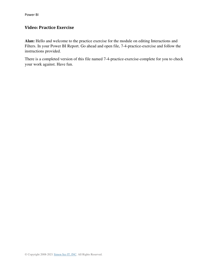## **Video: Practice Exercise**

**Alan:** Hello and welcome to the practice exercise for the module on editing Interactions and Filters. In your Power BI Report. Go ahead and open file, 7-4-practice-exercise and follow the instructions provided.

There is a completed version of this file named 7-4-practice-exercise-complete for you to check your work against. Have fun.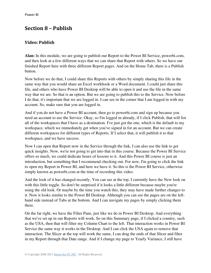# **Section 8 – Publish**

## **Video: Publish**

**Alan:** In this module, we are going to publish our Report to the Power BI Service, powerbi.com, and then look at a few different ways that we can share that Report with others. So we have our finished Report here with three different Report pages. And on the Home Tab, there is a Publish button.

Now before we do that, I could share this Reports with others by simply sharing this file in the same way that you would share an Excel workbook or a Word document. I could just share this file, and others who have Power BI Desktop will be able to open it and use the file in the same way that we are. So that is an option. But we are going to publish this to the Service. Now before I do that, it's important that we are logged in. I can see in the corner that I am logged in with my account. So, make sure that you are logged in.

And if you do not have a Power BI account, then go to powerbi.com and sign up because you need an account to use the Service. Okay, so I'm logged in already, if I click Publish, that will list all of the workspaces that I have as a destination. I've just got the one, which is the default to my workspace, which we immediately get when you've signed in for an account. But we can create different workspaces for different types of Reports. If I select that, it will publish it to that workspace, and we have success.

Now I can open that Report now in the Service through the link, I can also use the link to get quick insights. Now, we're not going to get into that in this course. Because the Power BI Service offers so much, we could dedicate hours of lessons to it. And this Power BI course is just an introduction, but something that I recommend checking out. For now, I'm going to click the link to open my Report in Power BI, and here we have it. So this is the Power BI Service, otherwise simply known as powerbi.com at the time of recording this video.

And the look of it has changed recently. You can see at the top, I currently have the New look on with this little toggle. So don't be surprised if it looks a little different because maybe you're using the old look. Or maybe by the time you watch this, they may have made further changes to it. Now it looks similar to the Power BI Desktop. Although you can see the pages are on the lefthand side instead of Tabs at the bottom. And I can navigate my pages by simply clicking them there.

On the far right, we have the Filter Pane, just like we do in Power BI Desktop. And everything that we've set up in our Reports will work. So on this Summary page, if I clicked a country, such as the USA, then that will filter my Column Chart to the left. That interaction works in Power BI Service the same way it works in the Desktop. And I can click the USA again to remove that interaction. The Slicer at the top will work the same, I can drag the ends of that Slicer and filter in my Report through that Date range. And if I change my page to Yearly Variance, I still have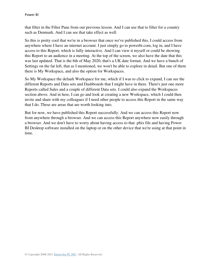that filter in the Filter Pane from our previous lesson. And I can use that to filter for a country such as Denmark. And I can see that take effect as well.

So this is pretty cool that we're in a browser that once we've published this, I could access from anywhere where I have an internet account. I just simply go to powerbi.com, log in, and I have access to this Report, which is fully interactive. And I can view it myself or could be showing this Report to an audience in a meeting. At the top of the screen, we also have the date that this was last updated. That is the 6th of May 2020, that's a UK date format. And we have a bunch of Settings on the far left, that as I mentioned, we won't be able to explore in detail. But one of them there is My Workspace, and also the option for Workspaces.

So My Workspace the default Workspace for me, which if I was to click to expand, I can see the different Reports and Data sets and Dashboards that I might have in there. There's just one more Reports called Sales and a couple of different Data sets. I could also expand the Workspaces section above. And in here, I can go and look at creating a new Workspace, which I could then invite and share with my colleagues if I need other people to access this Report in the same way that I do. These are areas that are worth looking into.

But for now, we have published this Report successfully. And we can access this Report now from anywhere through a browser. And we can access this Report anywhere now easily through a browser. And we don't have to worry about having access to that .pbix file and having Power BI Desktop software installed on the laptop or on the other device that we're using at that point in time.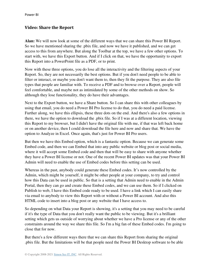#### **Video: Share the Report**

**Alan:** We will now look at some of the different ways that we can share this Power BI Report. So we have mentioned sharing the .pbix file, and now we have it published, and we can get access to this from anywhere. But along the Toolbar at the top, we have a few other options. To start with, we have this Export button. And if I click on that, we have the opportunity to export this Report into a PowerPoint file as a PDF, or to print.

Now with these three options, you do lose all the interactivity and the filtering aspects of your Report. So, they are not necessarily the best options. But if you don't need people to be able to filter or interact, or maybe you don't want them to, then they fit the purpose. They are also file types that people are familiar with. To receive a PDF and to browse over a Report, people will feel comfortable, and maybe not as intimidated by some of the other methods on show. So although they lose functionality, they do have their advantages.

Next to the Export button, we have a Share button. So I can share this with other colleagues by using that email, you do need a Power BI Pro license to do that, you do need a paid license. Further along, we have this ellipsis, these three dots on the end. And there's also a few options in there, we have the option to download the .pbix file. So if I was at a different location, viewing this Report to my browser, but I didn't have the original file with me, if that was left back home or on another device, then I could download the file here and now and share that. We have the option to Analyze in Excel. Once again, that's just for Power BI Pro users.

But then we have this Embed option, which is a fantastic option. Because we can generate some Embed code, and then we can Embed that into any public website or blog post or social media, where it will accept some Embed code and then that will be easy to share with anyone whether they have a Power BI license or not. One of the recent Power BI updates was that your Power BI Admin will need to enable the use of Embed codes before this setting can be used.

Whereas in the past, anybody could generate these Embed codes. It's now controlled by the Admin, which might be yourself, it might be other people at your company, to try and control how this Data can be used in public. So that is a setting that Admin need to enable in the Admin Portal, then they can go and create these Embed codes, and we can use them. So if I clicked on Publish to web, I have this Embed code ready to be used. I have a link which I can easily share via email to anybody to view this Report with or without a Power BI account. And also this HTML code to insert into a blog post or any website that I have access to.

So depending on what Data your Report is showing, it's a setting that you may need to be careful if it's the type of Data that you don't really want the public to be viewing. But it's a brilliant setting which gets us outside of worrying about whether we have a Pro license or any of the other constraints around the way we share this file. So I'm a big fan of these Embed codes. I'm going to close that for now.

But there's a few different ways there that we can share this Report from sharing the original .pbix file. But the limitations will be that people need the Power BI Desktop software to be able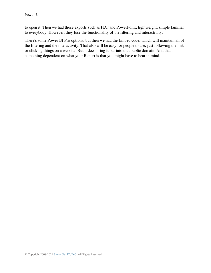to open it. Then we had those exports such as PDF and PowerPoint, lightweight, simple familiar to everybody. However, they lose the functionality of the filtering and interactivity.

There's some Power BI Pro options, but then we had the Embed code, which will maintain all of the filtering and the interactivity. That also will be easy for people to use, just following the link or clicking things on a website. But it does bring it out into that public domain. And that's something dependent on what your Report is that you might have to bear in mind.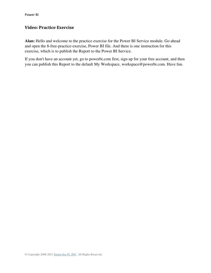#### **Video: Practice Exercise**

**Alan:** Hello and welcome to the practice exercise for the Power BI Service module. Go ahead and open the 8-free-practice-exercise, Power BI file. And there is one instruction for this exercise, which is to publish the Report to the Power BI Service.

If you don't have an account yet, go to powerbi.com first, sign up for your free account, and then you can publish this Report to the default My Workspace, workspace@powerbi.com. Have fun.